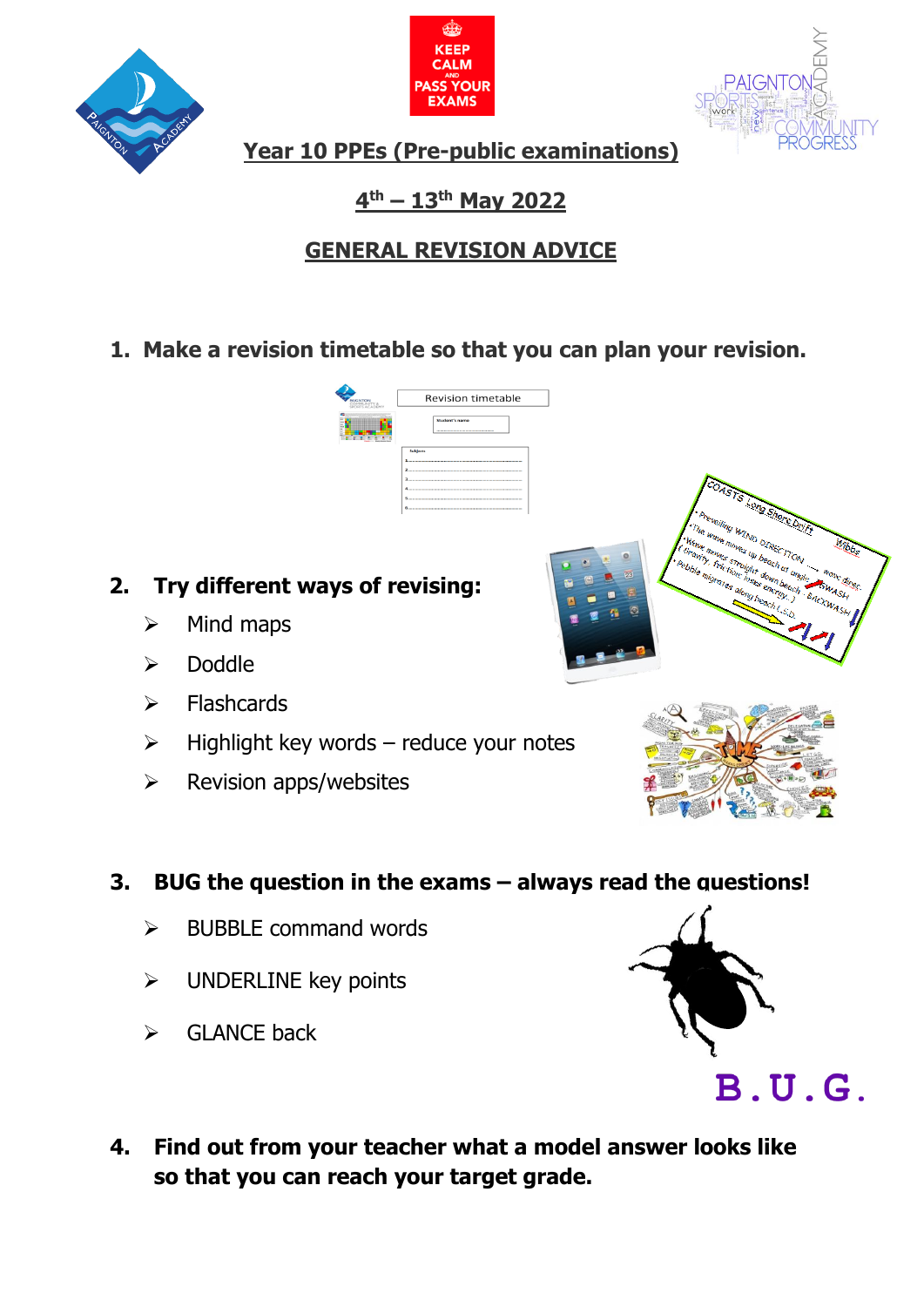





**Year 10 PPEs (Pre-public examinations)**

## **4 th – 13th May 2022**

# **GENERAL REVISION ADVICE**

**1. Make a revision timetable so that you can plan your revision.**

**Revision timetable** 

# **2. Try different ways of revising:**

- $\triangleright$  Mind maps
- ➢ Doddle
- ➢ Flashcards
- $\triangleright$  Highlight key words reduce your notes
- ➢ Revision apps/websites

## **3. BUG the question in the exams – always read the questions!**

- $\triangleright$  BUBBLE command words
- ➢ UNDERLINE key points
- $\triangleright$  GLANCE back







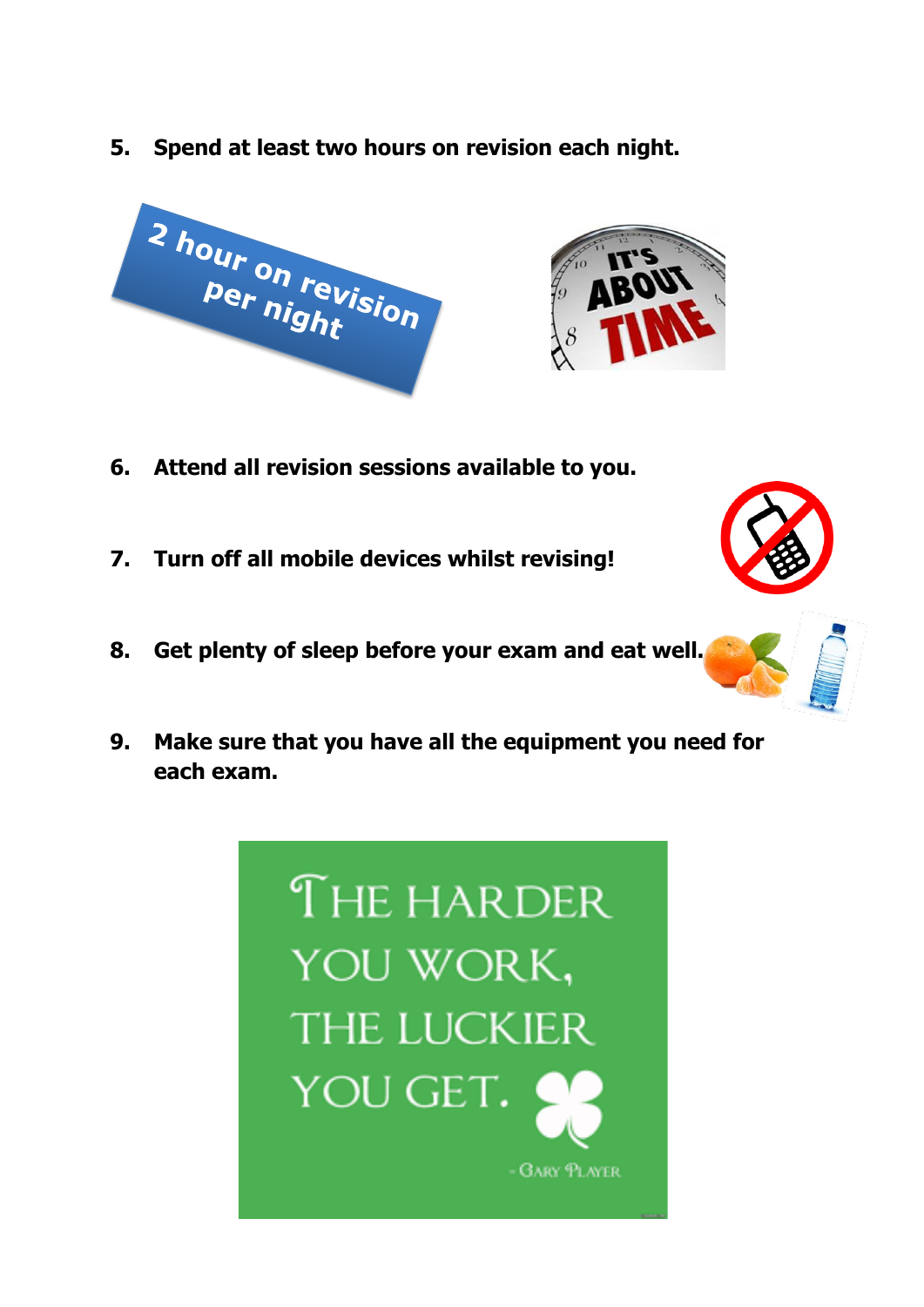**5. Spend at least two hours on revision each night.**



- **6. Attend all revision sessions available to you.**
- **7. Turn off all mobile devices whilst revising!**
- **8. Get plenty of sleep before your exam and eat well.**
- **9. Make sure that you have all the equipment you need for each exam.**





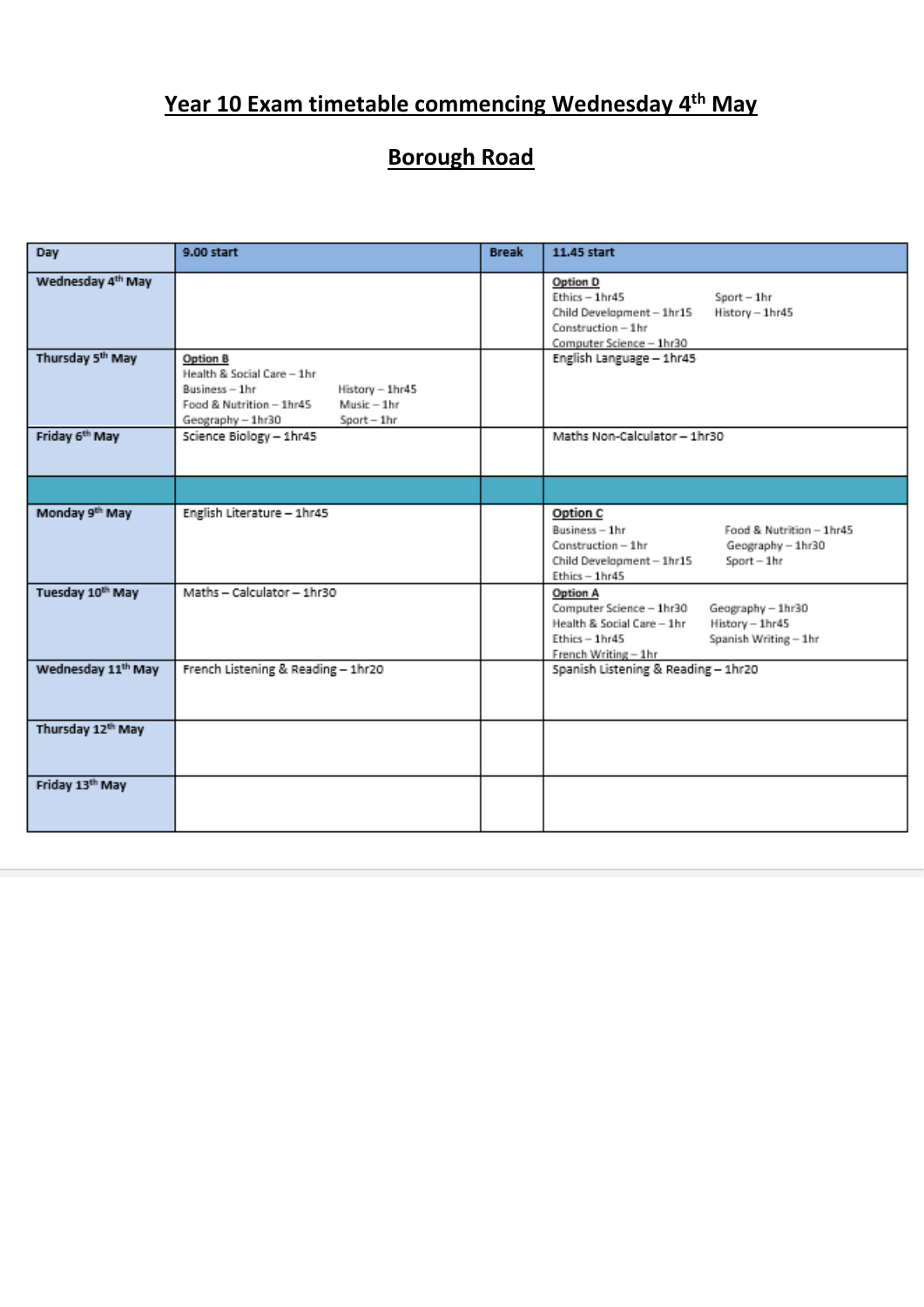# **Year 10 Exam timetable commencing Wednesday 4th May**

# **Borough Road**

| Day                                                           | 9.00 start                                                                                                                                                  | <b>Break</b> | 11.45 start                                                                                                                                                                   |
|---------------------------------------------------------------|-------------------------------------------------------------------------------------------------------------------------------------------------------------|--------------|-------------------------------------------------------------------------------------------------------------------------------------------------------------------------------|
| Wednesday 4 <sup>th</sup> May<br>Thursday 5 <sup>th</sup> May |                                                                                                                                                             |              | Option D<br>$Ethics - 1hr45$<br>$Sport - 1hr$<br>History - 1hr45<br>Child Development - 1hr15<br>Construction - 1hr<br>Computer Science - 1hr30                               |
|                                                               | Option B<br>Health & Social Care - 1hr<br>Business-1hr<br>History - 1hr45<br>$Music - 1hr$<br>Food & Nutrition - 1hr45<br>Geography - 1hr30<br>$Sort - 1hr$ |              | English Language - 1hr45                                                                                                                                                      |
| Friday 6th May                                                | Science Biology - 1hr45                                                                                                                                     |              | Maths Non-Calculator - 1hr30                                                                                                                                                  |
|                                                               |                                                                                                                                                             |              |                                                                                                                                                                               |
| Monday 9th May                                                | English Literature - 1hr45                                                                                                                                  |              | Option C<br>Business-1hr<br>Food & Nutrition - 1hr45<br>Construction - 1hr<br>Geography - 1hr30<br>Child Development - 1hr15<br>$Sort - 1hr$<br>Ethics - 1hr45                |
| Tuesday 10th May                                              | Maths - Calculator - 1hr30                                                                                                                                  |              | Option A<br>Computer Science - 1hr30<br>Geography - 1hr30<br>Health & Social Care - 1hr<br>History - 1hr45<br>Ethics - 1hr45<br>Spanish Writing - 1hr<br>French Writing - 1hr |
| Wednesday 11 <sup>th</sup> May                                | French Listening & Reading - 1hr20                                                                                                                          |              | Spanish Listening & Reading - 1hr20                                                                                                                                           |
| Thursday 12th May                                             |                                                                                                                                                             |              |                                                                                                                                                                               |
| Friday 13th May                                               |                                                                                                                                                             |              |                                                                                                                                                                               |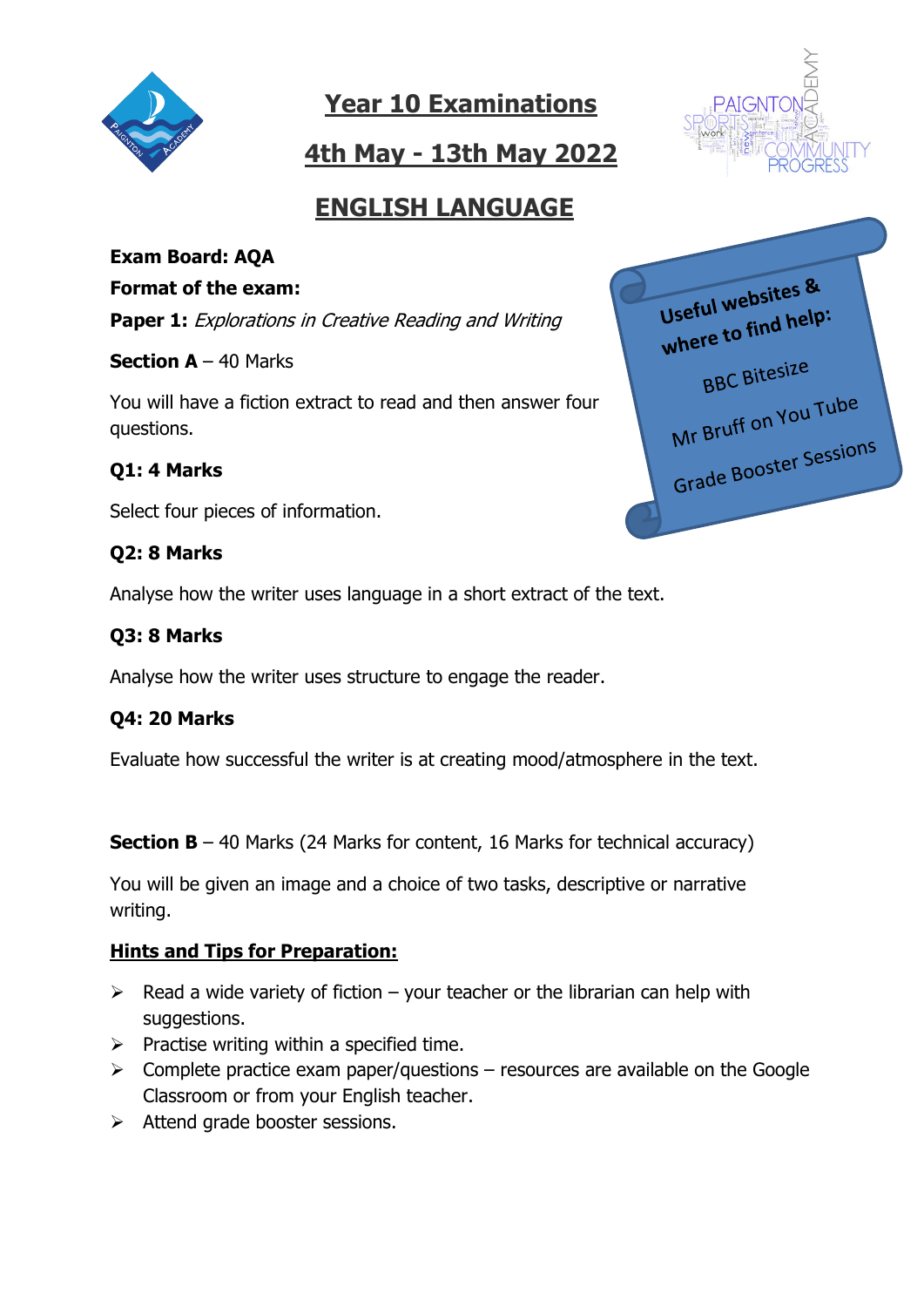

# **4th May - 13th May 2022**



## **ENGLISH LANGUAGE**

# **Exam Board: AQA**

#### **Format of the exam:**

**Paper 1:** Explorations in Creative Reading and Writing

**Section A** – 40 Marks

You will have a fiction extract to read and then answer four questions.

## **Q1: 4 Marks**

Select four pieces of information.

### **Q2: 8 Marks**

Analyse how the writer uses language in a short extract of the text.

## **Q3: 8 Marks**

Analyse how the writer uses structure to engage the reader.

### **Q4: 20 Marks**

Evaluate how successful the writer is at creating mood/atmosphere in the text.

**Section B** – 40 Marks (24 Marks for content, 16 Marks for technical accuracy)

You will be given an image and a choice of two tasks, descriptive or narrative writing.

### **Hints and Tips for Preparation:**

- $\triangleright$  Read a wide variety of fiction your teacher or the librarian can help with suggestions.
- $\triangleright$  Practise writing within a specified time.
- $\triangleright$  Complete practice exam paper/questions resources are available on the Google Classroom or from your English teacher.
- ➢ Attend grade booster sessions.

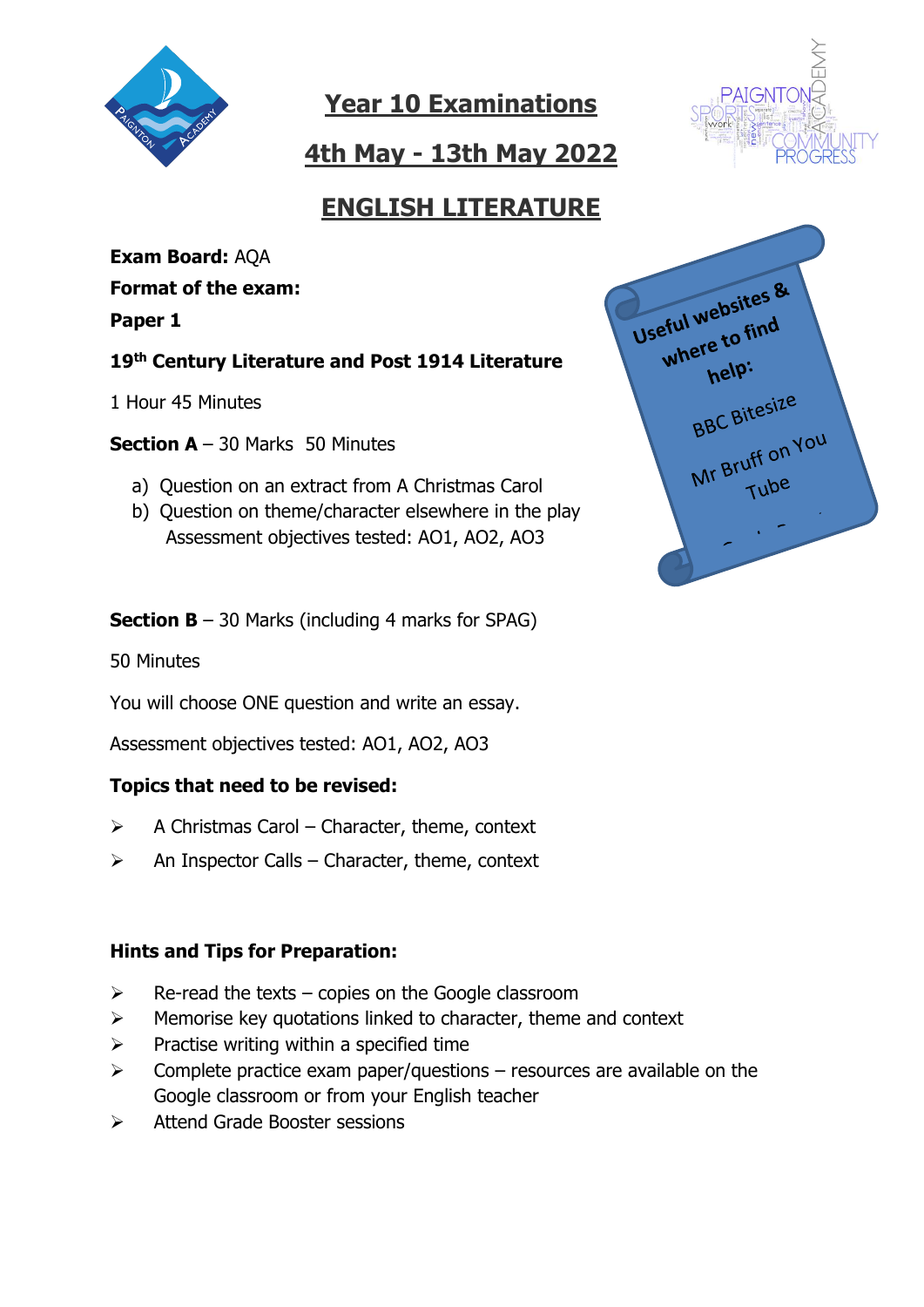

**4th May - 13th May 2022**



# **ENGLISH LITERATURE**

**Exam Board:** AQA **Format of the exam: Paper 1**

**19th Century Literature and Post 1914 Literature**

1 Hour 45 Minutes

**Section A** – 30 Marks 50 Minutes

- a) Question on an extract from A Christmas Carol
- b) Question on theme/character elsewhere in the play Assessment objectives tested: AO1, AO2, AO3

**Section B** – 30 Marks (including 4 marks for SPAG)

50 Minutes

You will choose ONE question and write an essay.

Assessment objectives tested: AO1, AO2, AO3

### **Topics that need to be revised:**

- $\triangleright$  A Christmas Carol Character, theme, context
- $\triangleright$  An Inspector Calls Character, theme, context

### **Hints and Tips for Preparation:**

- $\triangleright$  Re-read the texts copies on the Google classroom
- ➢ Memorise key quotations linked to character, theme and context
- $\triangleright$  Practise writing within a specified time
- $\triangleright$  Complete practice exam paper/questions resources are available on the Google classroom or from your English teacher
- ➢ Attend Grade Booster sessions

Useful websites & eful website<br>where to find 'nelp: BBC Bitesize BBC BILE<br>Mr Bruff on You Tube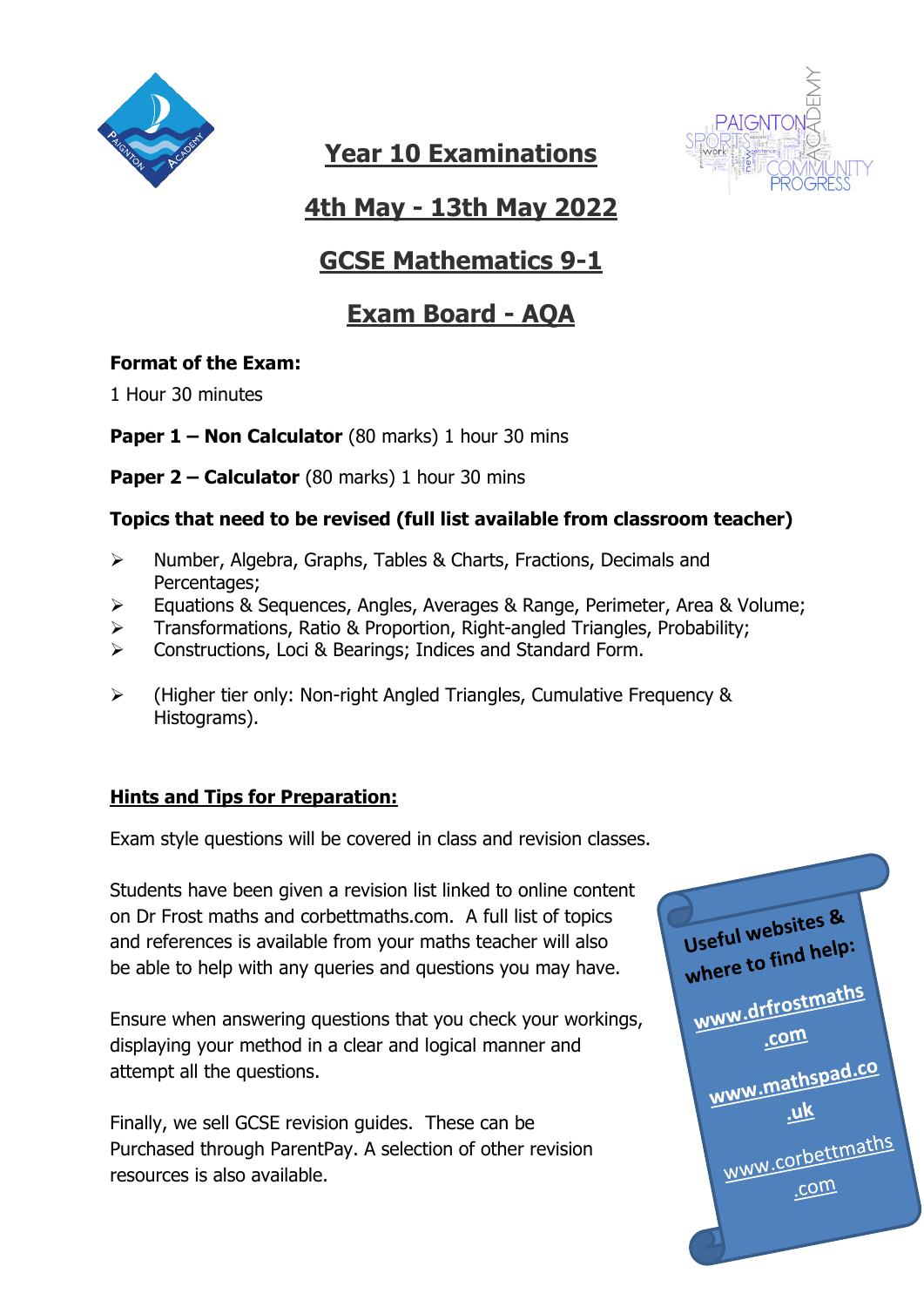



# **4th May - 13th May 2022**

# **GCSE Mathematics 9-1**

# **Exam Board - AQA**

### **Format of the Exam:**

1 Hour 30 minutes

**Paper 1 – Non Calculator** (80 marks) 1 hour 30 mins

**Paper 2 – Calculator** (80 marks) 1 hour 30 mins

### **Topics that need to be revised (full list available from classroom teacher)**

- ➢ Number, Algebra, Graphs, Tables & Charts, Fractions, Decimals and Percentages;
- ➢ Equations & Sequences, Angles, Averages & Range, Perimeter, Area & Volume;
- ➢ Transformations, Ratio & Proportion, Right-angled Triangles, Probability;
- ➢ Constructions, Loci & Bearings; Indices and Standard Form.
- ➢ (Higher tier only: Non-right Angled Triangles, Cumulative Frequency & Histograms).

## **Hints and Tips for Preparation:**

Exam style questions will be covered in class and revision classes.

Students have been given a revision list linked to online content on Dr Frost maths and corbettmaths.com. A full list of topics and references is available from your maths teacher will also be able to help with any queries and questions you may have.

Ensure when answering questions that you check your workings, displaying your method in a clear and logical manner and attempt all the questions.

Finally, we sell GCSE revision guides. These can be Purchased through ParentPay. A selection of other revision resources is also available.

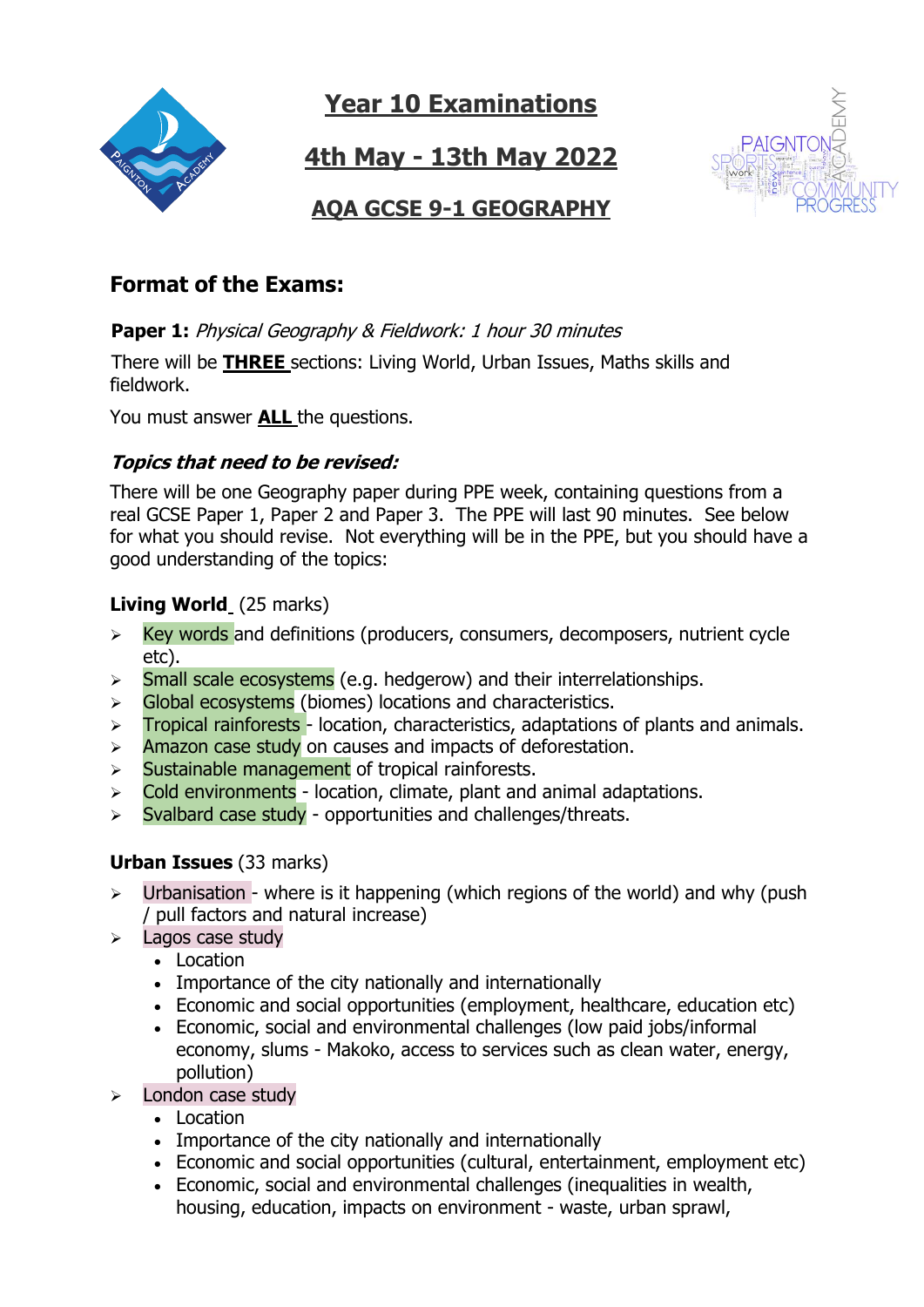

**4th May - 13th May 2022**



## **AQA GCSE 9-1 GEOGRAPHY**

## **Format of the Exams:**

**Paper 1:** Physical Geography & Fieldwork: 1 hour 30 minutes

 There will be **THREE** sections: Living World, Urban Issues, Maths skills and fieldwork.

You must answer **ALL** the questions.

### **Topics that need to be revised:**

There will be one Geography paper during PPE week, containing questions from a real GCSE Paper 1, Paper 2 and Paper 3. The PPE will last 90 minutes. See below for what you should revise. Not everything will be in the PPE, but you should have a good understanding of the topics:

### **Living World** (25 marks)

- $\triangleright$  Key words and definitions (producers, consumers, decomposers, nutrient cycle etc).
- $\triangleright$  Small scale ecosystems (e.g. hedgerow) and their interrelationships.
- ➢ Global ecosystems (biomes) locations and characteristics.
- $\triangleright$  Tropical rainforests location, characteristics, adaptations of plants and animals.
- $\triangleright$  Amazon case study on causes and impacts of deforestation.
- $\triangleright$  Sustainable management of tropical rainforests.
- $\triangleright$  Cold environments location, climate, plant and animal adaptations.
- $\triangleright$  Syalbard case study opportunities and challenges/threats.

## **Urban Issues** (33 marks)

- ➢ Urbanisation where is it happening (which regions of the world) and why (push / pull factors and natural increase)
- ➢ Lagos case study
	- Location
	- Importance of the city nationally and internationally
	- Economic and social opportunities (employment, healthcare, education etc)
	- Economic, social and environmental challenges (low paid jobs/informal economy, slums - Makoko, access to services such as clean water, energy, pollution)
- $\triangleright$  London case study
	- Location
	- Importance of the city nationally and internationally
	- Economic and social opportunities (cultural, entertainment, employment etc)
	- Economic, social and environmental challenges (inequalities in wealth, housing, education, impacts on environment - waste, urban sprawl,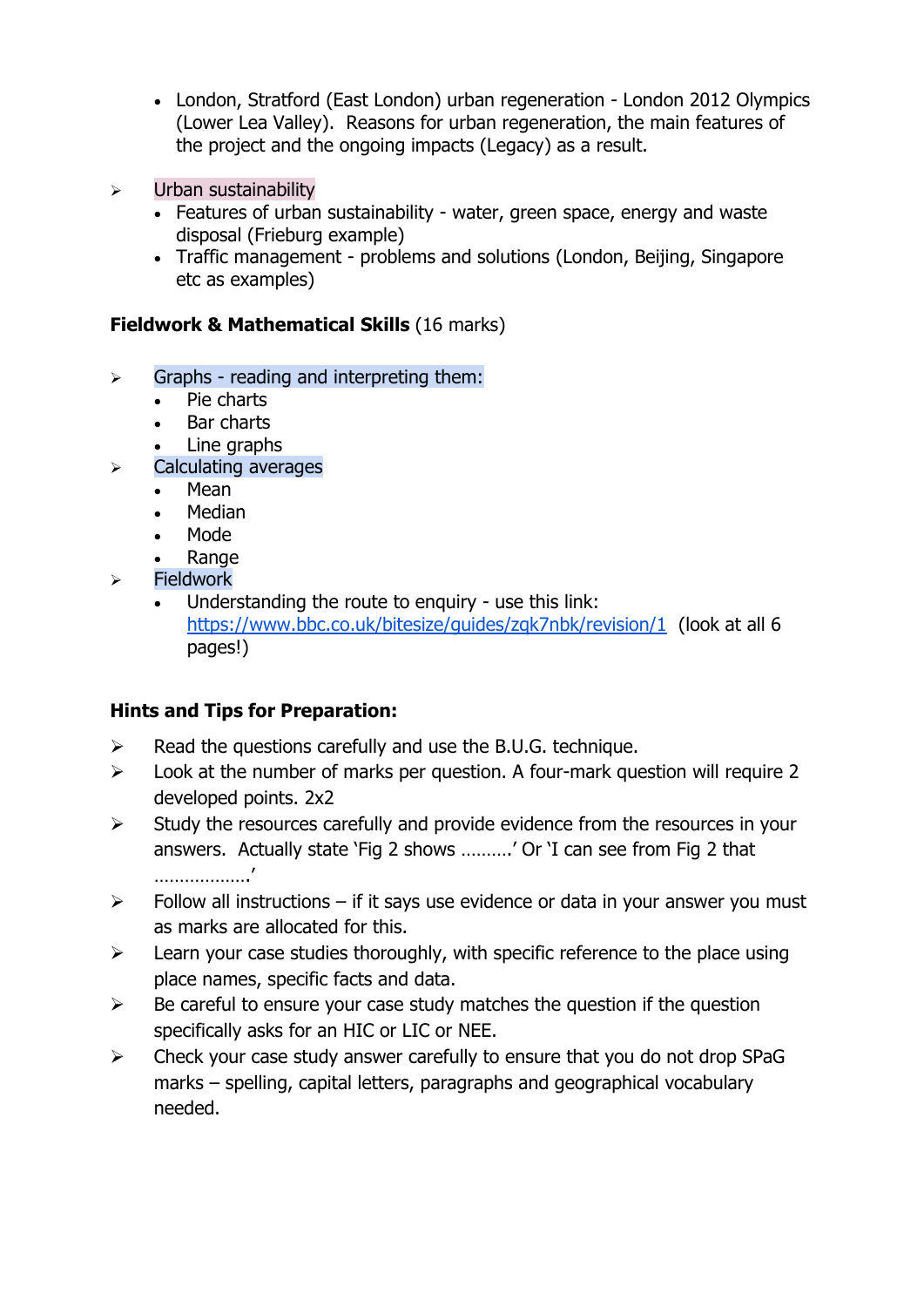- London, Stratford (East London) urban regeneration London 2012 Olympics (Lower Lea Valley). Reasons for urban regeneration, the main features of the project and the ongoing impacts (Legacy) as a result.
- ➢ Urban sustainability
	- Features of urban sustainability water, green space, energy and waste disposal (Frieburg example)
	- Traffic management problems and solutions (London, Beijing, Singapore etc as examples)

#### **Fieldwork & Mathematical Skills** (16 marks)

- $\triangleright$  Graphs reading and interpreting them:
	- Pie charts
	- Bar charts
	- Line graphs
- ➢ Calculating averages
	- Mean
	- Median
	- Mode
	- Range
- ➢ Fieldwork
	- Understanding the route to enquiry use this link: <https://www.bbc.co.uk/bitesize/guides/zqk7nbk/revision/1> (look at all 6 pages!)

### **Hints and Tips for Preparation:**

- $\triangleright$  Read the questions carefully and use the B.U.G. technique.
- $\triangleright$  Look at the number of marks per question. A four-mark question will require 2 developed points. 2x2
- $\triangleright$  Study the resources carefully and provide evidence from the resources in your answers. Actually state 'Fig 2 shows ……….' Or 'I can see from Fig 2 that ……………….'
- $\triangleright$  Follow all instructions if it says use evidence or data in your answer you must as marks are allocated for this.
- $\triangleright$  Learn your case studies thoroughly, with specific reference to the place using place names, specific facts and data.
- $\triangleright$  Be careful to ensure your case study matches the question if the question specifically asks for an HIC or LIC or NEE.
- ➢ Check your case study answer carefully to ensure that you do not drop SPaG marks – spelling, capital letters, paragraphs and geographical vocabulary needed.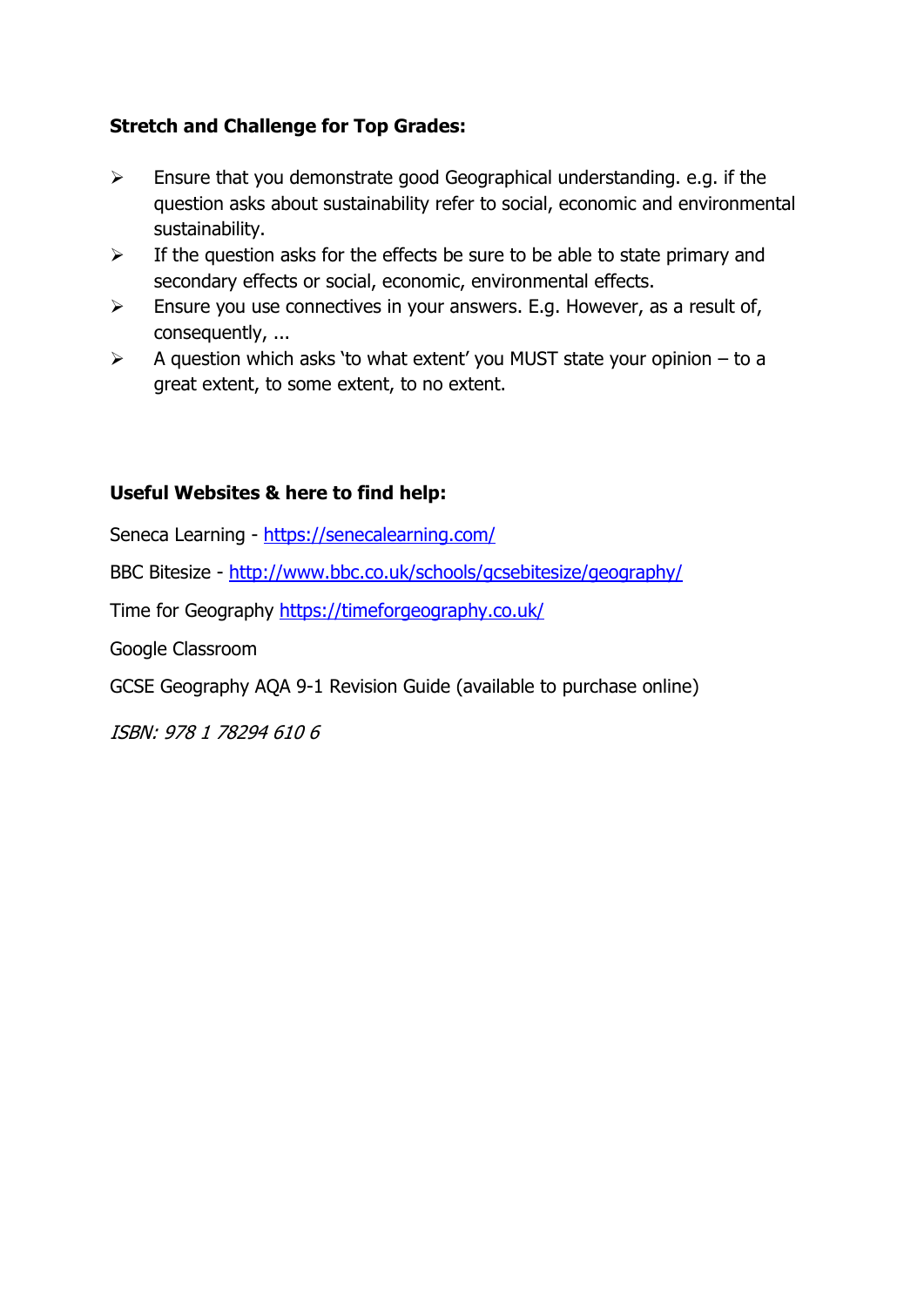### **Stretch and Challenge for Top Grades:**

- $\triangleright$  Ensure that you demonstrate good Geographical understanding. e.g. if the question asks about sustainability refer to social, economic and environmental sustainability.
- $\triangleright$  If the question asks for the effects be sure to be able to state primary and secondary effects or social, economic, environmental effects.
- $\triangleright$  Ensure you use connectives in your answers. E.g. However, as a result of, consequently, ...
- $\triangleright$  A question which asks 'to what extent' you MUST state your opinion to a great extent, to some extent, to no extent.

### **Useful Websites & here to find help:**

Seneca Learning - <https://senecalearning.com/>

BBC Bitesize - <http://www.bbc.co.uk/schools/gcsebitesize/geography/>

Time for Geography<https://timeforgeography.co.uk/>

Google Classroom

GCSE Geography AQA 9-1 Revision Guide (available to purchase online)

ISBN: 978 1 78294 610 6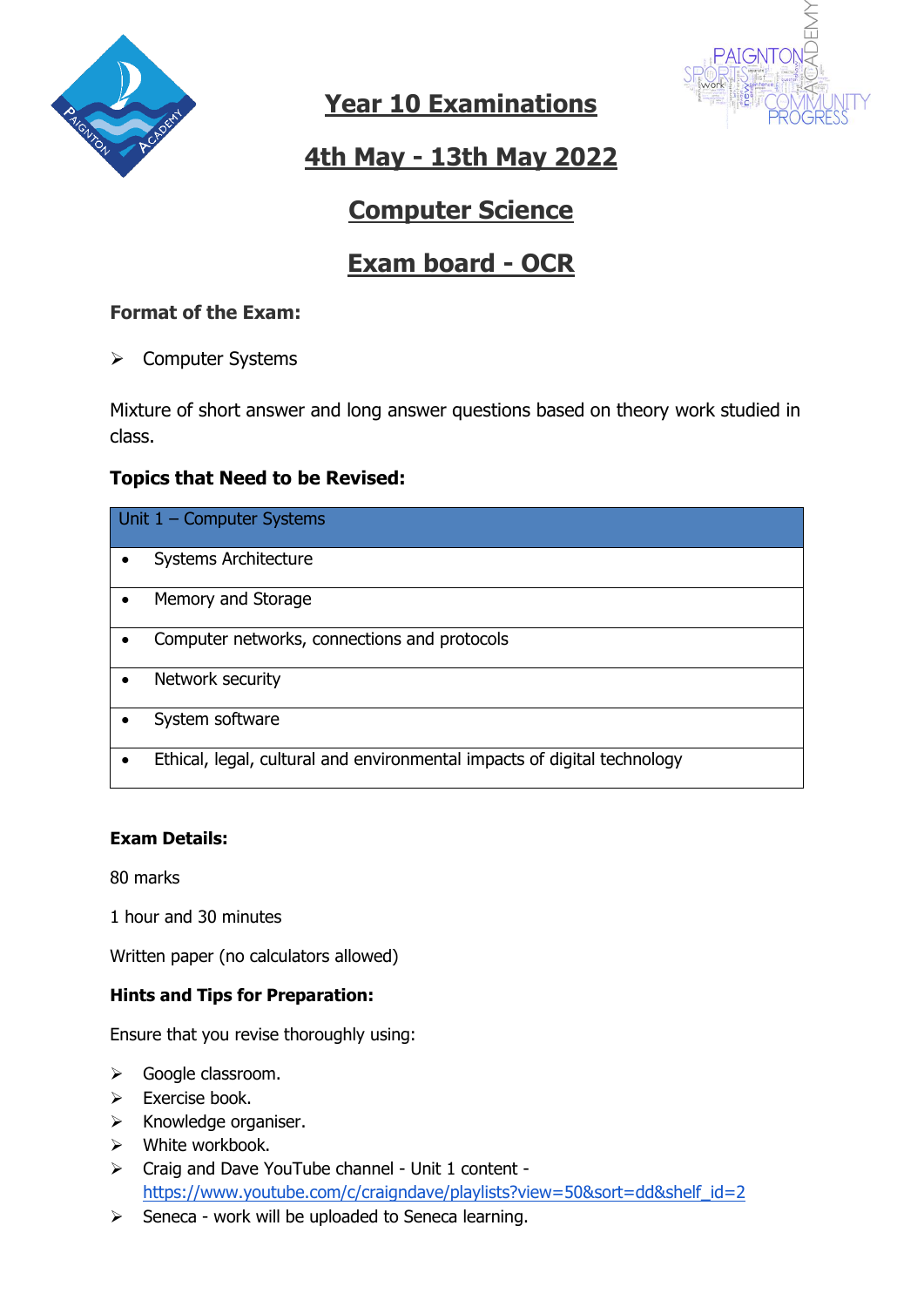



# **4th May - 13th May 2022**

# **Computer Science**

# **Exam board - OCR**

### **Format of the Exam:**

➢ Computer Systems

Mixture of short answer and long answer questions based on theory work studied in class.

### **Topics that Need to be Revised:**

| Unit $1$ – Computer Systems                                              |  |  |
|--------------------------------------------------------------------------|--|--|
| <b>Systems Architecture</b>                                              |  |  |
| Memory and Storage                                                       |  |  |
| Computer networks, connections and protocols                             |  |  |
| Network security<br>$\bullet$                                            |  |  |
| System software                                                          |  |  |
| Ethical, legal, cultural and environmental impacts of digital technology |  |  |

#### **Exam Details:**

80 marks

1 hour and 30 minutes

Written paper (no calculators allowed)

#### **Hints and Tips for Preparation:**

Ensure that you revise thoroughly using:

- ➢ Google classroom.
- ➢ Exercise book.
- ➢ Knowledge organiser.
- ➢ White workbook.
- ➢ Craig and Dave YouTube channel Unit 1 content [https://www.youtube.com/c/craigndave/playlists?view=50&sort=dd&shelf\\_id=2](https://www.youtube.com/c/craigndave/playlists?view=50&sort=dd&shelf_id=2)
- $\triangleright$  Seneca work will be uploaded to Seneca learning.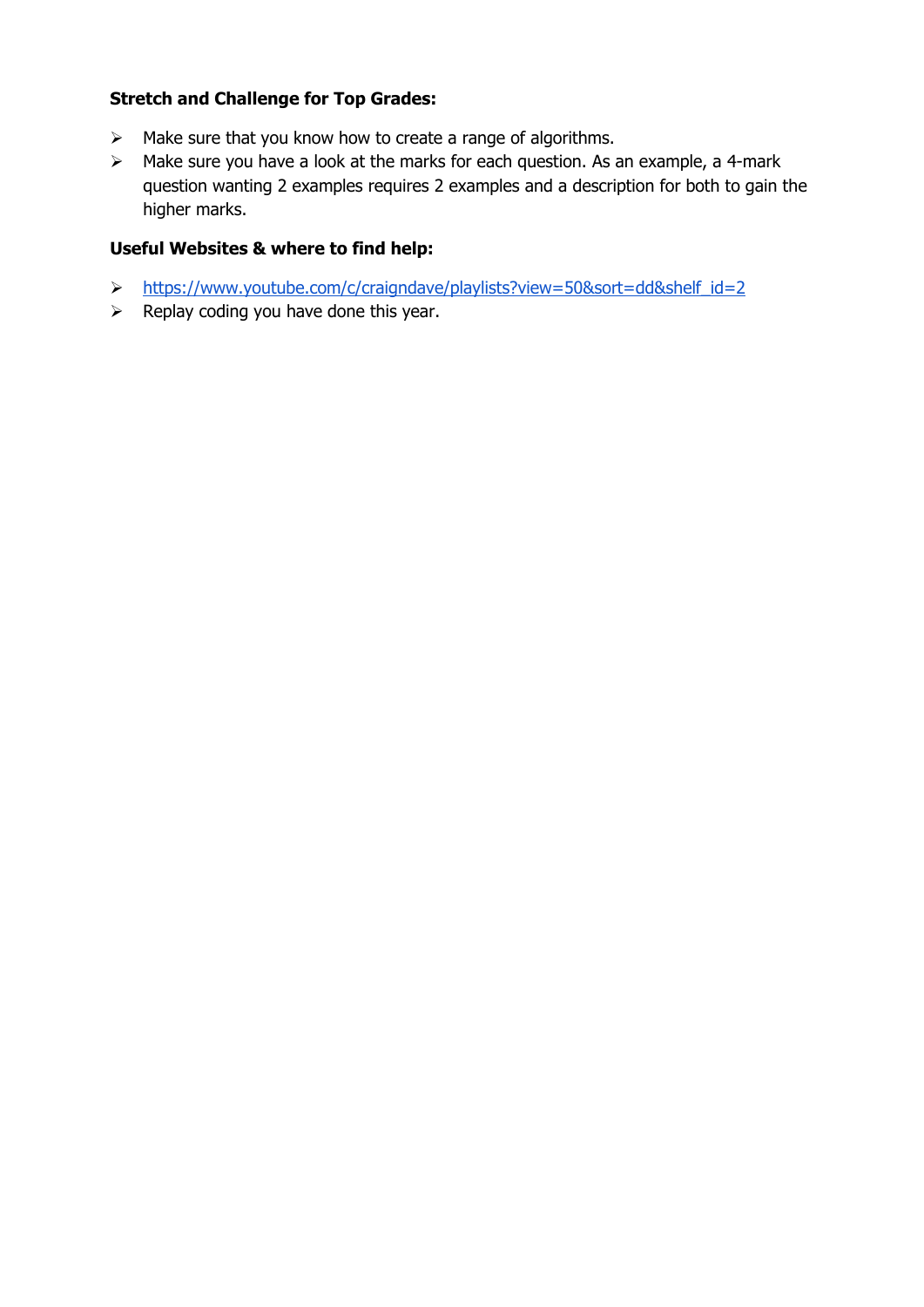#### **Stretch and Challenge for Top Grades:**

- ➢ Make sure that you know how to create a range of algorithms.
- ➢ Make sure you have a look at the marks for each question. As an example, a 4-mark question wanting 2 examples requires 2 examples and a description for both to gain the higher marks.

#### **Useful Websites & where to find help:**

- ➢ [https://www.youtube.com/c/craigndave/playlists?view=50&sort=dd&shelf\\_id=2](https://www.youtube.com/c/craigndave/playlists?view=50&sort=dd&shelf_id=2)
- $\triangleright$  Replay coding you have done this year.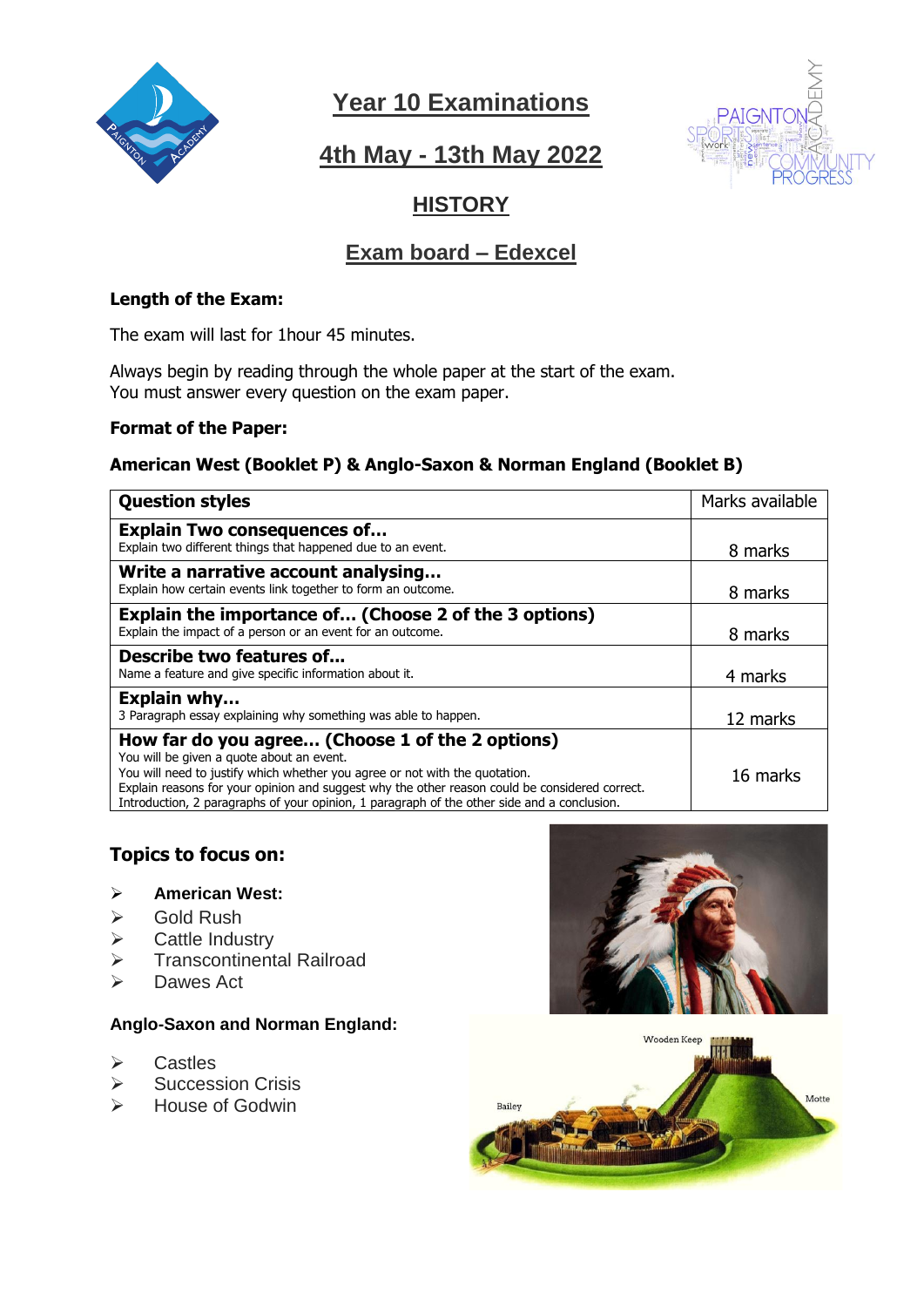

## **4th May - 13th May 2022**



## **HISTORY**

## **Exam board – Edexcel**

#### **Length of the Exam:**

The exam will last for 1hour 45 minutes.

Always begin by reading through the whole paper at the start of the exam. You must answer every question on the exam paper.

#### **Format of the Paper:**

#### **American West (Booklet P) & Anglo-Saxon & Norman England (Booklet B)**

| <b>Question styles</b>                                                                                                                                                                                                                                                                                                                                                        | Marks available |
|-------------------------------------------------------------------------------------------------------------------------------------------------------------------------------------------------------------------------------------------------------------------------------------------------------------------------------------------------------------------------------|-----------------|
| <b>Explain Two consequences of</b><br>Explain two different things that happened due to an event.                                                                                                                                                                                                                                                                             | 8 marks         |
| Write a narrative account analysing<br>Explain how certain events link together to form an outcome.                                                                                                                                                                                                                                                                           | 8 marks         |
| Explain the importance of (Choose 2 of the 3 options)<br>Explain the impact of a person or an event for an outcome.                                                                                                                                                                                                                                                           | 8 marks         |
| Describe two features of<br>Name a feature and give specific information about it.                                                                                                                                                                                                                                                                                            | 4 marks         |
| <b>Explain why</b><br>3 Paragraph essay explaining why something was able to happen.                                                                                                                                                                                                                                                                                          | 12 marks        |
| How far do you agree (Choose 1 of the 2 options)<br>You will be given a quote about an event.<br>You will need to justify which whether you agree or not with the quotation.<br>Explain reasons for your opinion and suggest why the other reason could be considered correct.<br>Introduction, 2 paragraphs of your opinion, 1 paragraph of the other side and a conclusion. | 16 marks        |

#### **Topics to focus on:**

#### ➢ **American West:**

- ➢ Gold Rush
- ➢ Cattle Industry
- ➢ Transcontinental Railroad
- ➢ Dawes Act

#### **Anglo-Saxon and Norman England:**

- ➢ Castles
- ➢ Succession Crisis
- ➢ House of Godwin



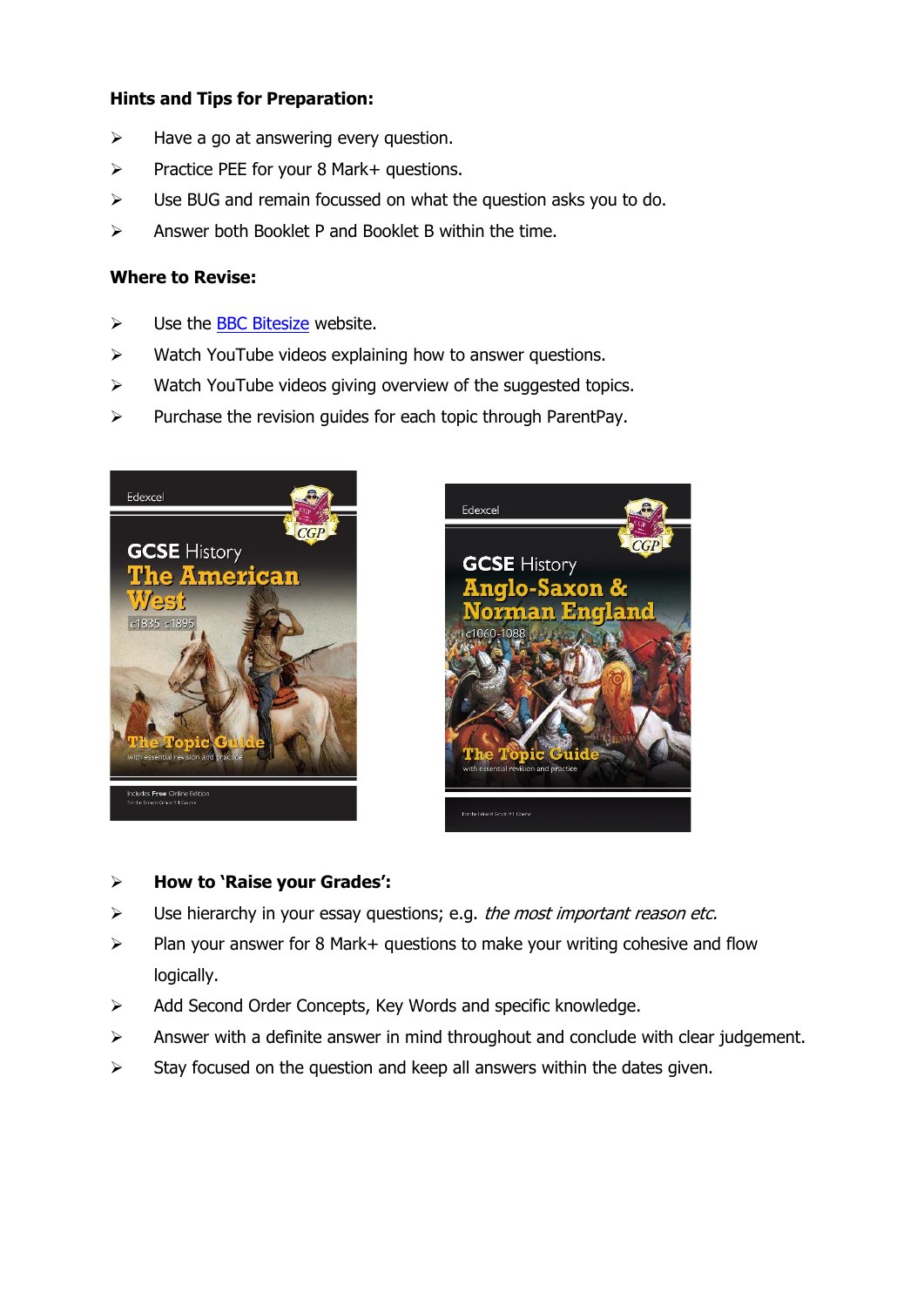#### **Hints and Tips for Preparation:**

- $\triangleright$  Have a go at answering every question.
- ➢ Practice PEE for your 8 Mark+ questions.
- $\triangleright$  Use BUG and remain focussed on what the question asks you to do.
- $\triangleright$  Answer both Booklet P and Booklet B within the time.

#### **Where to Revise:**

- $\triangleright$  Use the **BBC Bitesize** website.
- ➢ Watch YouTube videos explaining how to answer questions.
- ➢ Watch YouTube videos giving overview of the suggested topics.
- ➢ Purchase the revision guides for each topic through ParentPay.





#### ➢ **How to 'Raise your Grades':**

- $\triangleright$  Use hierarchy in your essay questions; e.g. the most important reason etc.
- $\triangleright$  Plan your answer for 8 Mark+ questions to make your writing cohesive and flow logically.
- ➢ Add Second Order Concepts, Key Words and specific knowledge.
- ➢ Answer with a definite answer in mind throughout and conclude with clear judgement.
- $\triangleright$  Stay focused on the question and keep all answers within the dates given.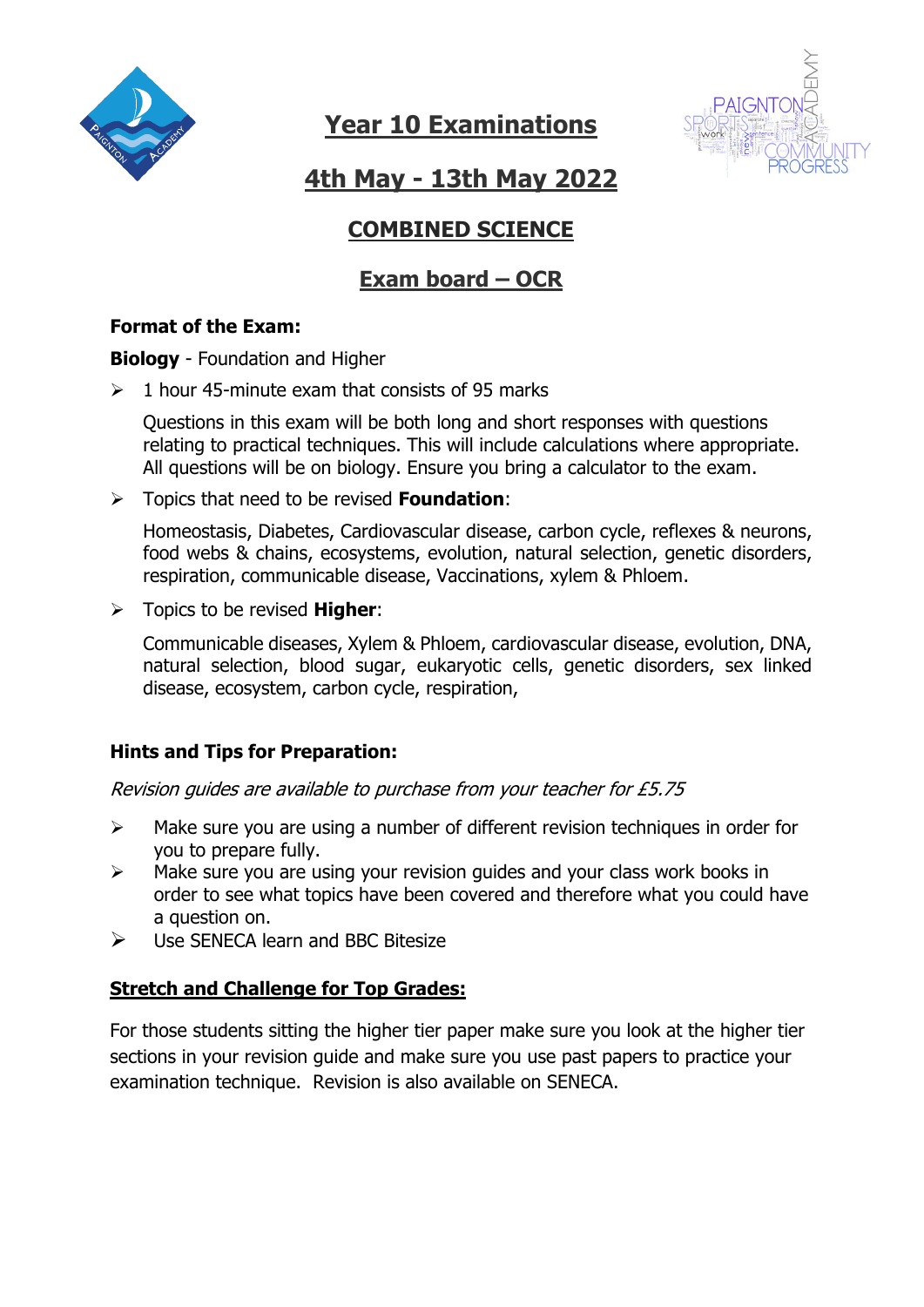



**4th May - 13th May 2022**

## **COMBINED SCIENCE**

## **Exam board – OCR**

### **Format of the Exam:**

**Biology** - Foundation and Higher

 $\geq 1$  hour 45-minute exam that consists of 95 marks

Questions in this exam will be both long and short responses with questions relating to practical techniques. This will include calculations where appropriate. All questions will be on biology. Ensure you bring a calculator to the exam.

➢ Topics that need to be revised **Foundation**:

Homeostasis, Diabetes, Cardiovascular disease, carbon cycle, reflexes & neurons, food webs & chains, ecosystems, evolution, natural selection, genetic disorders, respiration, communicable disease, Vaccinations, xylem & Phloem.

➢ Topics to be revised **Higher**:

Communicable diseases, Xylem & Phloem, cardiovascular disease, evolution, DNA, natural selection, blood sugar, eukaryotic cells, genetic disorders, sex linked disease, ecosystem, carbon cycle, respiration,

### **Hints and Tips for Preparation:**

Revision guides are available to purchase from your teacher for £5.75

- ➢ Make sure you are using a number of different revision techniques in order for you to prepare fully.
- ➢ Make sure you are using your revision guides and your class work books in order to see what topics have been covered and therefore what you could have a question on.
- ➢ Use SENECA learn and BBC Bitesize

### **Stretch and Challenge for Top Grades:**

For those students sitting the higher tier paper make sure you look at the higher tier sections in your revision guide and make sure you use past papers to practice your examination technique. Revision is also available on SENECA.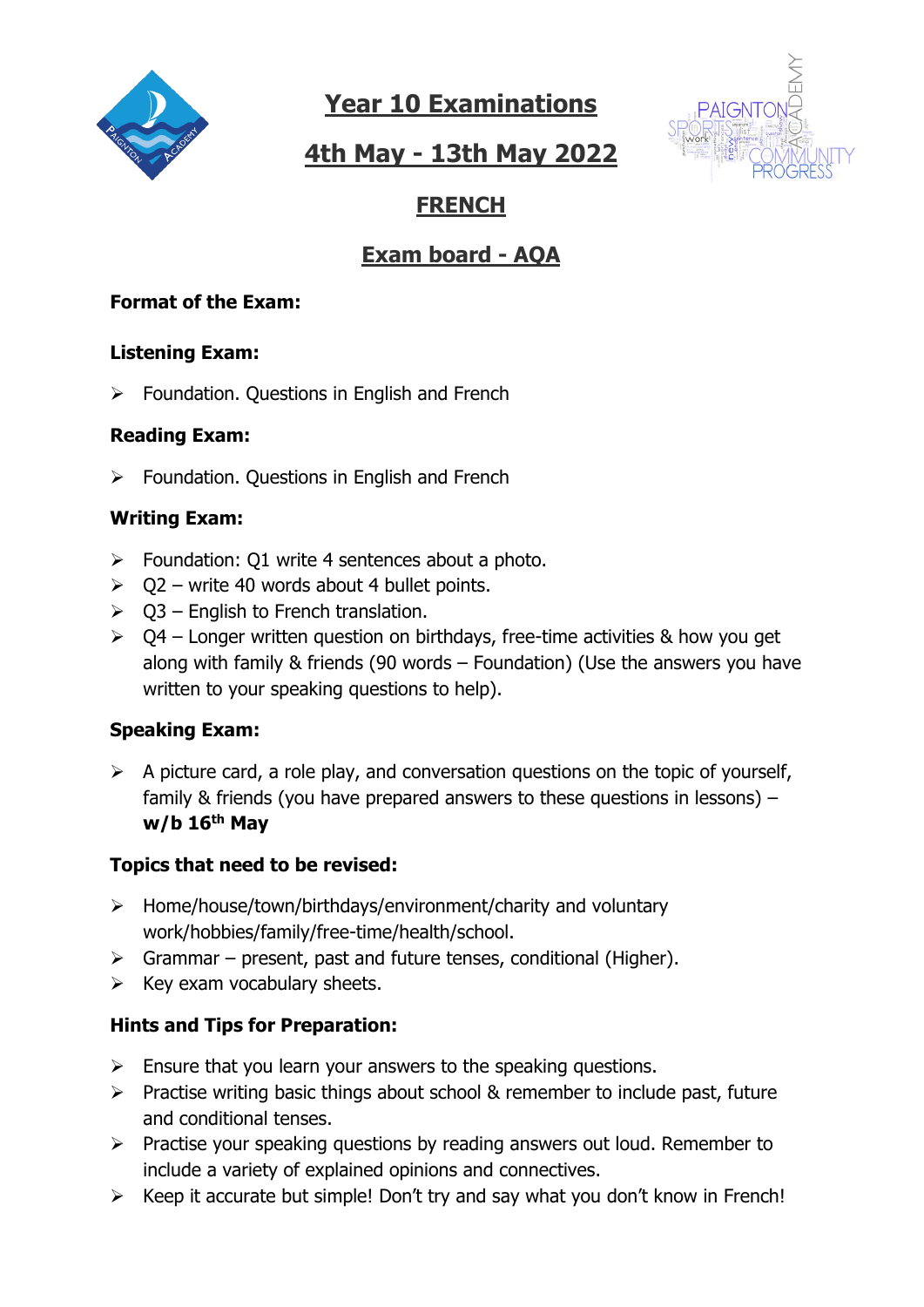

# **4th May - 13th May 2022**



## **FRENCH**

## **Exam board - AQA**

### **Format of the Exam:**

### **Listening Exam:**

➢ Foundation. Questions in English and French

### **Reading Exam:**

➢ Foundation. Questions in English and French

### **Writing Exam:**

- $\triangleright$  Foundation: Q1 write 4 sentences about a photo.
- $\geq$  02 write 40 words about 4 bullet points.
- $\triangleright$  Q3 English to French translation.
- $\geq 04$  Longer written question on birthdays, free-time activities & how you get along with family & friends (90 words – Foundation) (Use the answers you have written to your speaking questions to help).

### **Speaking Exam:**

 $\triangleright$  A picture card, a role play, and conversation questions on the topic of yourself, family & friends (you have prepared answers to these questions in lessons) – **w/b 16th May**

### **Topics that need to be revised:**

- ➢ Home/house/town/birthdays/environment/charity and voluntary work/hobbies/family/free-time/health/school.
- $\triangleright$  Grammar present, past and future tenses, conditional (Higher).
- $\triangleright$  Key exam vocabulary sheets.

## **Hints and Tips for Preparation:**

- $\triangleright$  Ensure that you learn your answers to the speaking questions.
- ➢ Practise writing basic things about school & remember to include past, future and conditional tenses.
- ➢ Practise your speaking questions by reading answers out loud. Remember to include a variety of explained opinions and connectives.
- ➢ Keep it accurate but simple! Don't try and say what you don't know in French!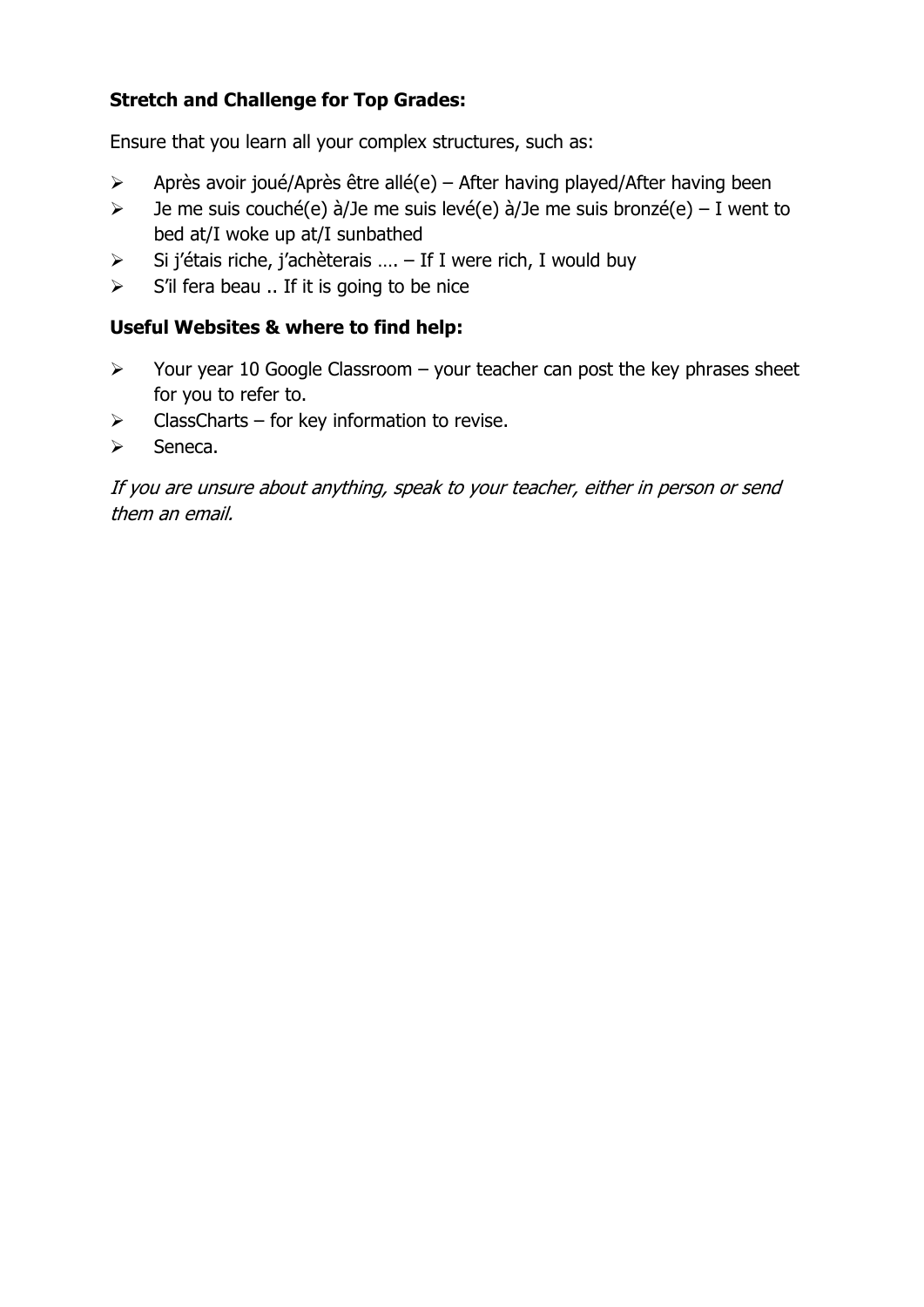### **Stretch and Challenge for Top Grades:**

Ensure that you learn all your complex structures, such as:

- $\triangleright$  Après avoir joué/Après être allé(e) After having played/After having been
- $\geq$  Je me suis couché(e) à/Je me suis levé(e) à/Je me suis bronzé(e) I went to bed at/I woke up at/I sunbathed
- ➢ Si j'étais riche, j'achèterais …. If I were rich, I would buy
- $\triangleright$  S'il fera beau .. If it is going to be nice

### **Useful Websites & where to find help:**

- $\triangleright$  Your year 10 Google Classroom your teacher can post the key phrases sheet for you to refer to.
- $\triangleright$  ClassCharts for key information to revise.
- ➢ Seneca.

If you are unsure about anything, speak to your teacher, either in person or send them an email.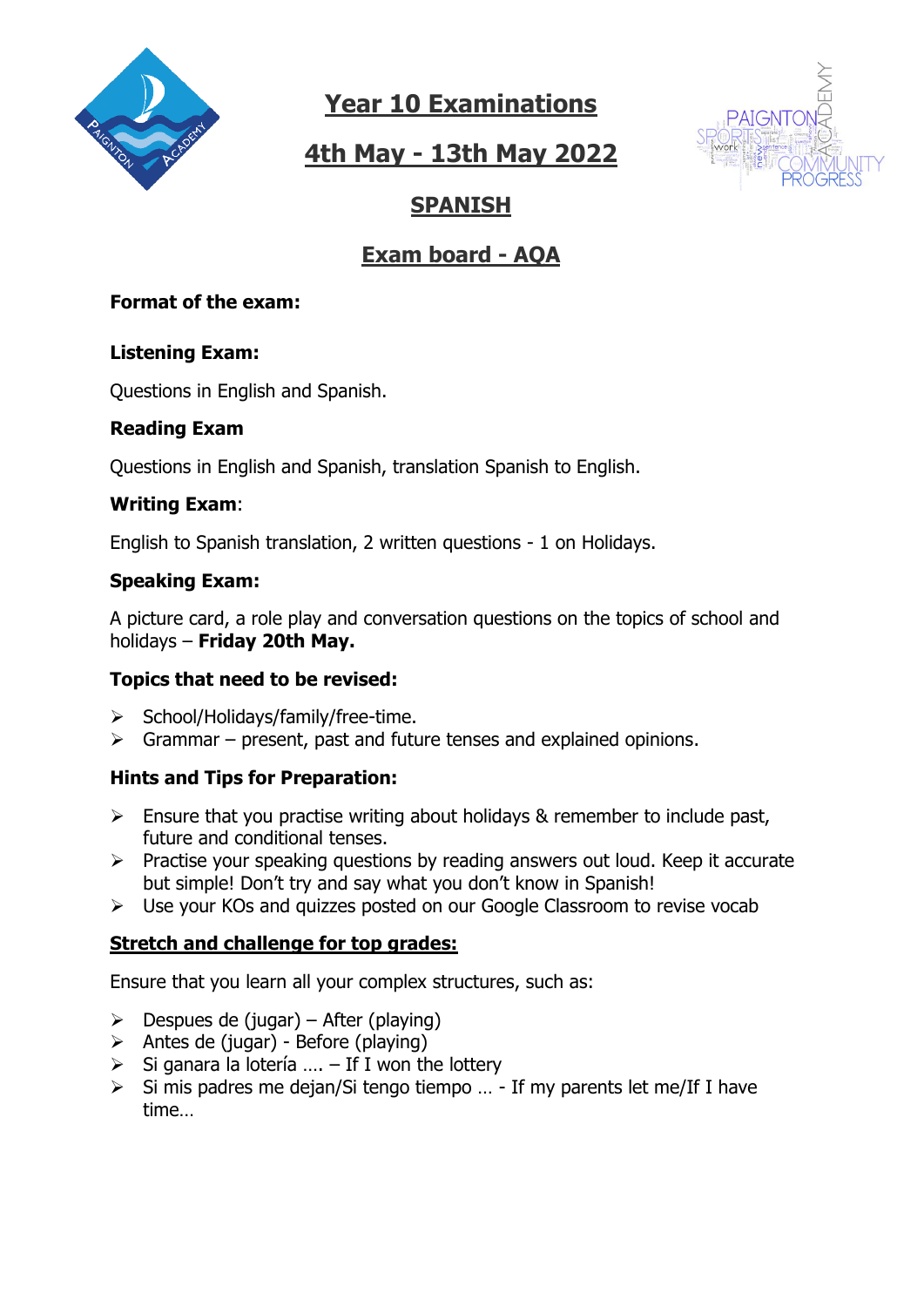

# **4th May - 13th May 2022**



## **SPANISH**

## **Exam board - AQA**

#### **Format of the exam:**

#### **Listening Exam:**

Questions in English and Spanish.

### **Reading Exam**

Questions in English and Spanish, translation Spanish to English.

#### **Writing Exam**:

English to Spanish translation, 2 written questions - 1 on Holidays.

#### **Speaking Exam:**

A picture card, a role play and conversation questions on the topics of school and holidays – **Friday 20th May.**

### **Topics that need to be revised:**

- ➢ School/Holidays/family/free-time.
- $\triangleright$  Grammar present, past and future tenses and explained opinions.

### **Hints and Tips for Preparation:**

- $\triangleright$  Ensure that you practise writing about holidays & remember to include past, future and conditional tenses.
- ➢ Practise your speaking questions by reading answers out loud. Keep it accurate but simple! Don't try and say what you don't know in Spanish!
- ➢ Use your KOs and quizzes posted on our Google Classroom to revise vocab

### **Stretch and challenge for top grades:**

Ensure that you learn all your complex structures, such as:

- $\triangleright$  Despues de (jugar) After (playing)
- $\triangleright$  Antes de (jugar) Before (playing)
- $\triangleright$  Si ganara la lotería .... If I won the lottery
- ➢ Si mis padres me dejan/Si tengo tiempo … If my parents let me/If I have time…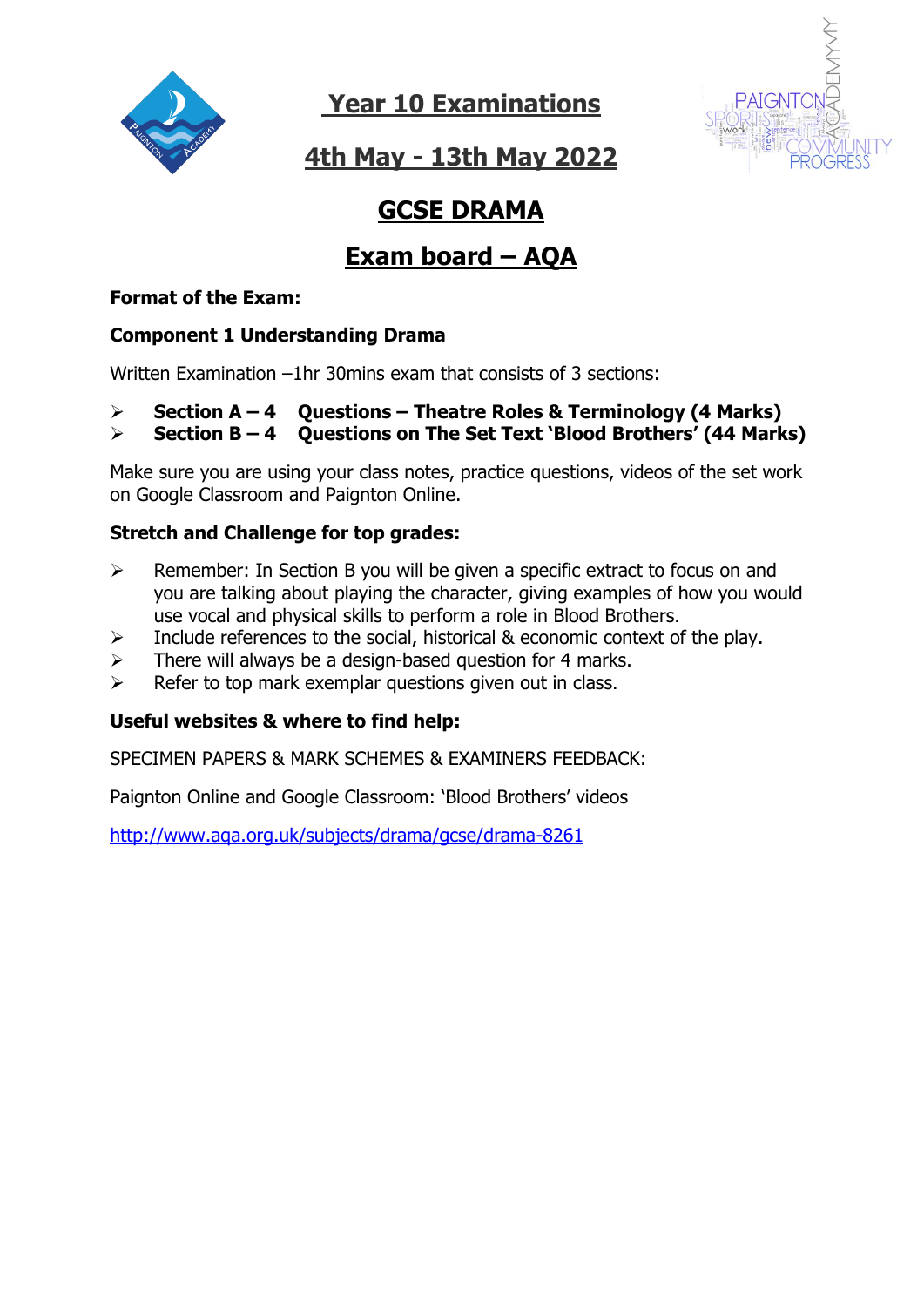



**4th May - 13th May 2022**

# **GCSE DRAMA**

# **Exam board – AQA**

### **Format of the Exam:**

### **Component 1 Understanding Drama**

Written Examination –1hr 30mins exam that consists of 3 sections:

### ➢ **Section A – 4 Questions – Theatre Roles & Terminology (4 Marks)**

➢ **Section B – 4 Questions on The Set Text 'Blood Brothers' (44 Marks)**

Make sure you are using your class notes, practice questions, videos of the set work on Google Classroom and Paignton Online.

### **Stretch and Challenge for top grades:**

- ➢ Remember: In Section B you will be given a specific extract to focus on and you are talking about playing the character, giving examples of how you would use vocal and physical skills to perform a role in Blood Brothers.
- $\triangleright$  Include references to the social, historical & economic context of the play.
- $\triangleright$  There will always be a design-based question for 4 marks.
- $\triangleright$  Refer to top mark exemplar questions given out in class.

### **Useful websites & where to find help:**

SPECIMEN PAPERS & MARK SCHEMES & EXAMINERS FEEDBACK:

Paignton Online and Google Classroom: 'Blood Brothers' videos

<http://www.aqa.org.uk/subjects/drama/gcse/drama-8261>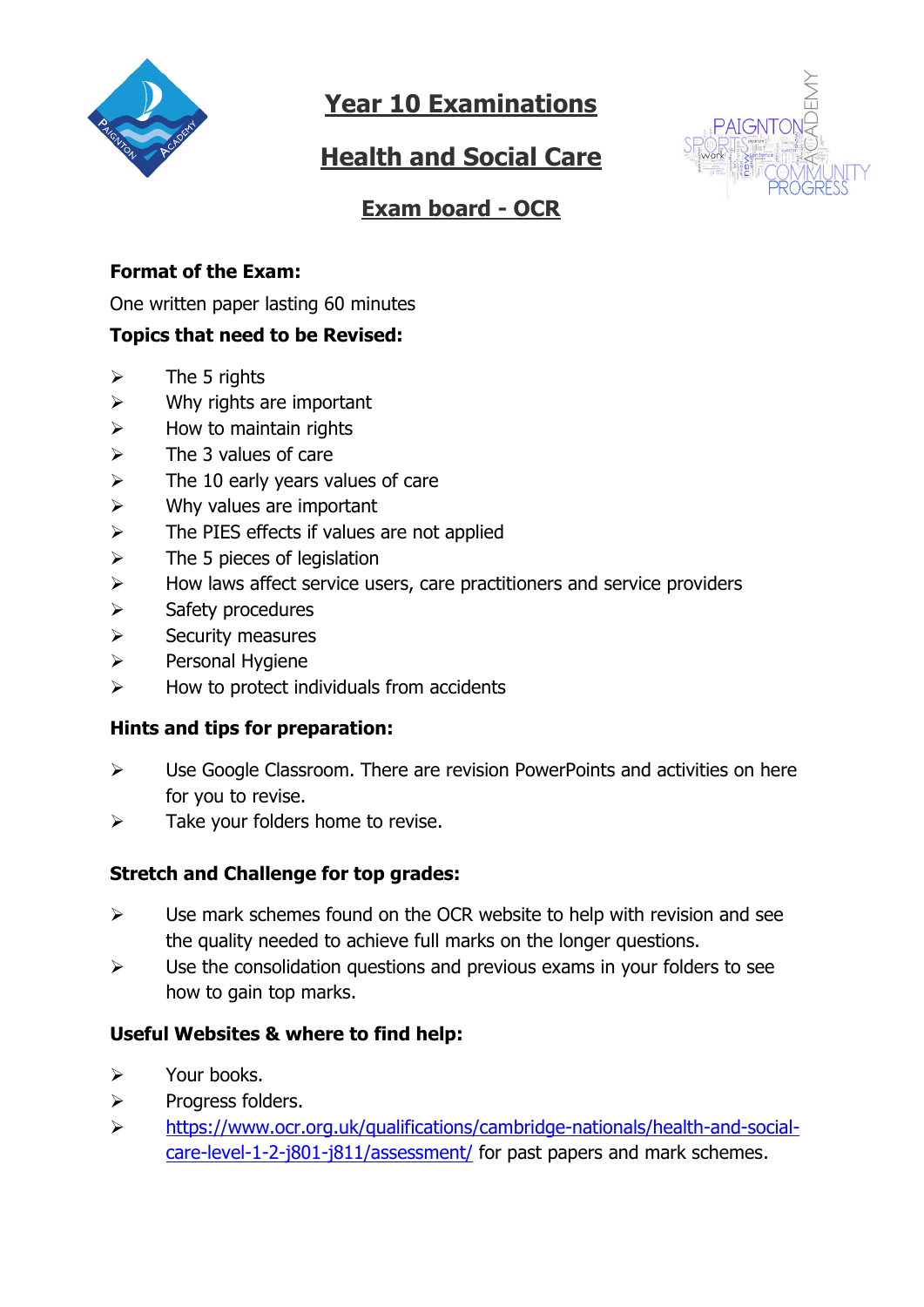

# **Health and Social Care**



## **Exam board - OCR**

### **Format of the Exam:**

One written paper lasting 60 minutes

#### **Topics that need to be Revised:**

- $\triangleright$  The 5 rights
- $\triangleright$  Why rights are important
- $\triangleright$  How to maintain rights
- $\triangleright$  The 3 values of care
- $\triangleright$  The 10 early years values of care
- $\triangleright$  Why values are important
- $\triangleright$  The PIES effects if values are not applied
- $\triangleright$  The 5 pieces of legislation
- $\triangleright$  How laws affect service users, care practitioners and service providers
- ➢ Safety procedures
- ➢ Security measures
- ➢ Personal Hygiene
- $\triangleright$  How to protect individuals from accidents

#### **Hints and tips for preparation:**

- ➢ Use Google Classroom. There are revision PowerPoints and activities on here for you to revise.
- $\triangleright$  Take your folders home to revise.

### **Stretch and Challenge for top grades:**

- $\triangleright$  Use mark schemes found on the OCR website to help with revision and see the quality needed to achieve full marks on the longer questions.
- $\triangleright$  Use the consolidation questions and previous exams in your folders to see how to gain top marks.

### **Useful Websites & where to find help:**

- ➢ Your books.
- ➢ Progress folders.
- ➢ [https://www.ocr.org.uk/qualifications/cambridge-nationals/health-and-social](https://www.ocr.org.uk/qualifications/cambridge-nationals/health-and-social-care-level-1-2-j801-j811/assessment/)[care-level-1-2-j801-j811/assessment/](https://www.ocr.org.uk/qualifications/cambridge-nationals/health-and-social-care-level-1-2-j801-j811/assessment/) for past papers and mark schemes.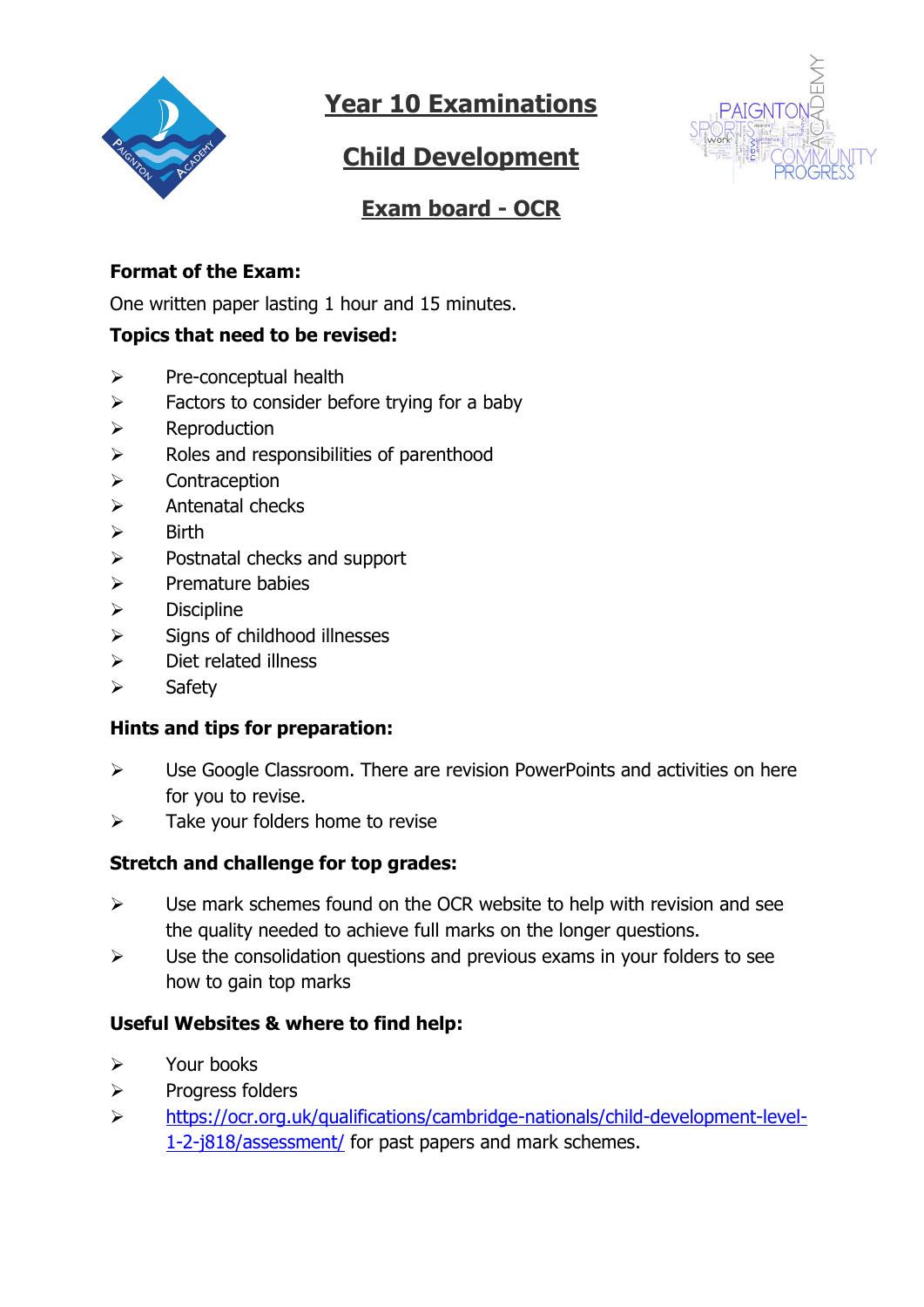

# **Child Development**



## **Exam board - OCR**

### **Format of the Exam:**

One written paper lasting 1 hour and 15 minutes.

#### **Topics that need to be revised:**

- ➢ Pre-conceptual health
- $\triangleright$  Factors to consider before trying for a baby
- ➢ Reproduction
- ➢ Roles and responsibilities of parenthood
- ➢ Contraception
- ➢ Antenatal checks
- ➢ Birth
- ➢ Postnatal checks and support
- ➢ Premature babies
- ➢ Discipline
- $\triangleright$  Signs of childhood illnesses
- ➢ Diet related illness
- ➢ Safety

#### **Hints and tips for preparation:**

- ➢ Use Google Classroom. There are revision PowerPoints and activities on here for you to revise.
- $\triangleright$  Take your folders home to revise

#### **Stretch and challenge for top grades:**

- $\triangleright$  Use mark schemes found on the OCR website to help with revision and see the quality needed to achieve full marks on the longer questions.
- $\triangleright$  Use the consolidation questions and previous exams in your folders to see how to gain top marks

#### **Useful Websites & where to find help:**

- ➢ Your books
- ➢ Progress folders
- ➢ [https://ocr.org.uk/qualifications/cambridge-nationals/child-development-level-](https://ocr.org.uk/qualifications/cambridge-nationals/child-development-level-1-2-j818/assessment/)[1-2-j818/assessment/](https://ocr.org.uk/qualifications/cambridge-nationals/child-development-level-1-2-j818/assessment/) for past papers and mark schemes.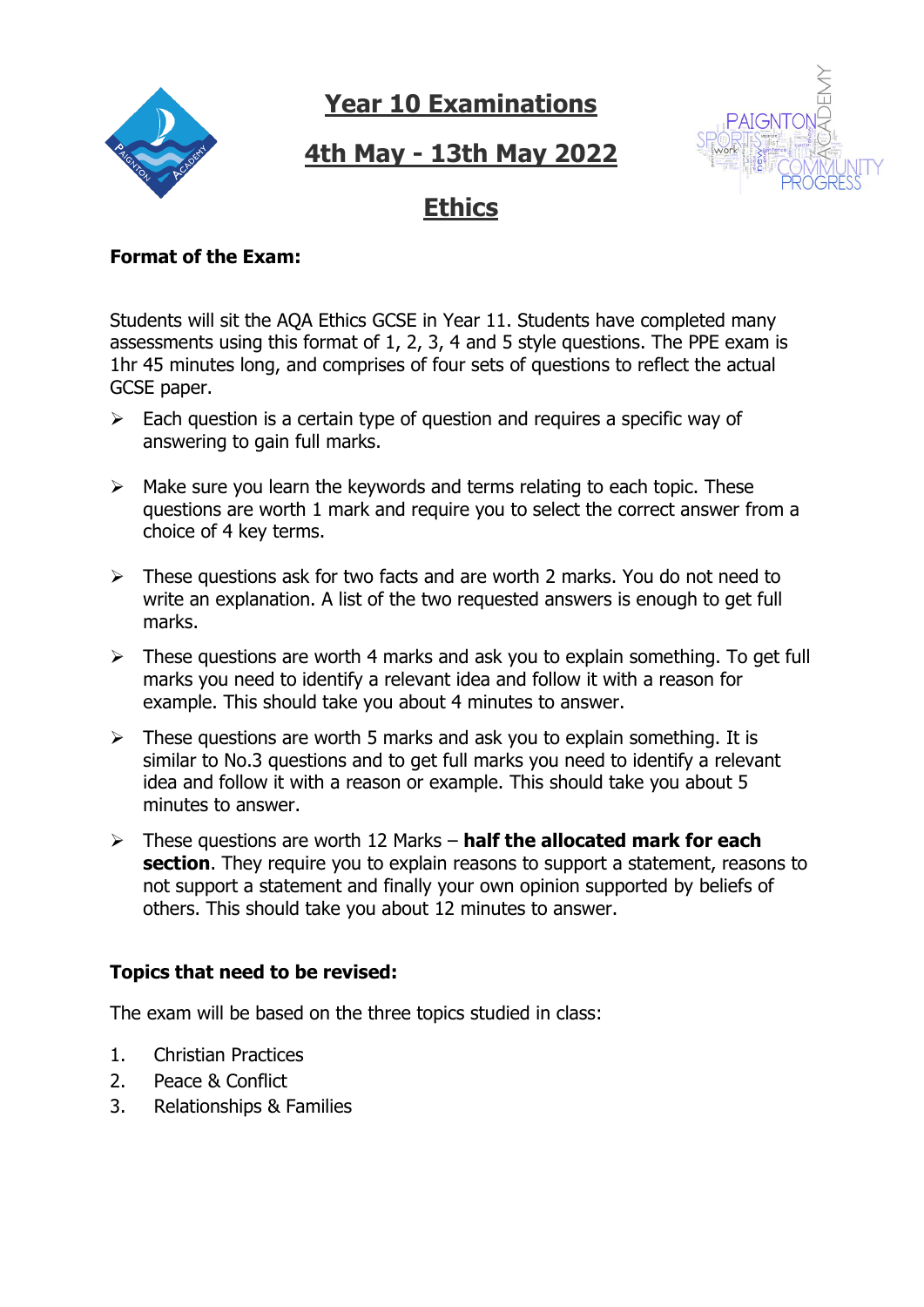# **4th May - 13th May 2022**



## **Ethics**

#### **Format of the Exam:**

Students will sit the AQA Ethics GCSE in Year 11. Students have completed many assessments using this format of 1, 2, 3, 4 and 5 style questions. The PPE exam is 1hr 45 minutes long, and comprises of four sets of questions to reflect the actual GCSE paper.

- ➢ Each question is a certain type of question and requires a specific way of answering to gain full marks.
- $\triangleright$  Make sure you learn the keywords and terms relating to each topic. These questions are worth 1 mark and require you to select the correct answer from a choice of 4 key terms.
- ➢ These questions ask for two facts and are worth 2 marks. You do not need to write an explanation. A list of the two requested answers is enough to get full marks.
- ➢ These questions are worth 4 marks and ask you to explain something. To get full marks you need to identify a relevant idea and follow it with a reason for example. This should take you about 4 minutes to answer.
- $\triangleright$  These questions are worth 5 marks and ask you to explain something. It is similar to No.3 questions and to get full marks you need to identify a relevant idea and follow it with a reason or example. This should take you about 5 minutes to answer.
- ➢ These questions are worth 12 Marks **half the allocated mark for each section**. They require you to explain reasons to support a statement, reasons to not support a statement and finally your own opinion supported by beliefs of others. This should take you about 12 minutes to answer.

#### **Topics that need to be revised:**

The exam will be based on the three topics studied in class:

- 1. Christian Practices
- 2. Peace & Conflict
- 3. Relationships & Families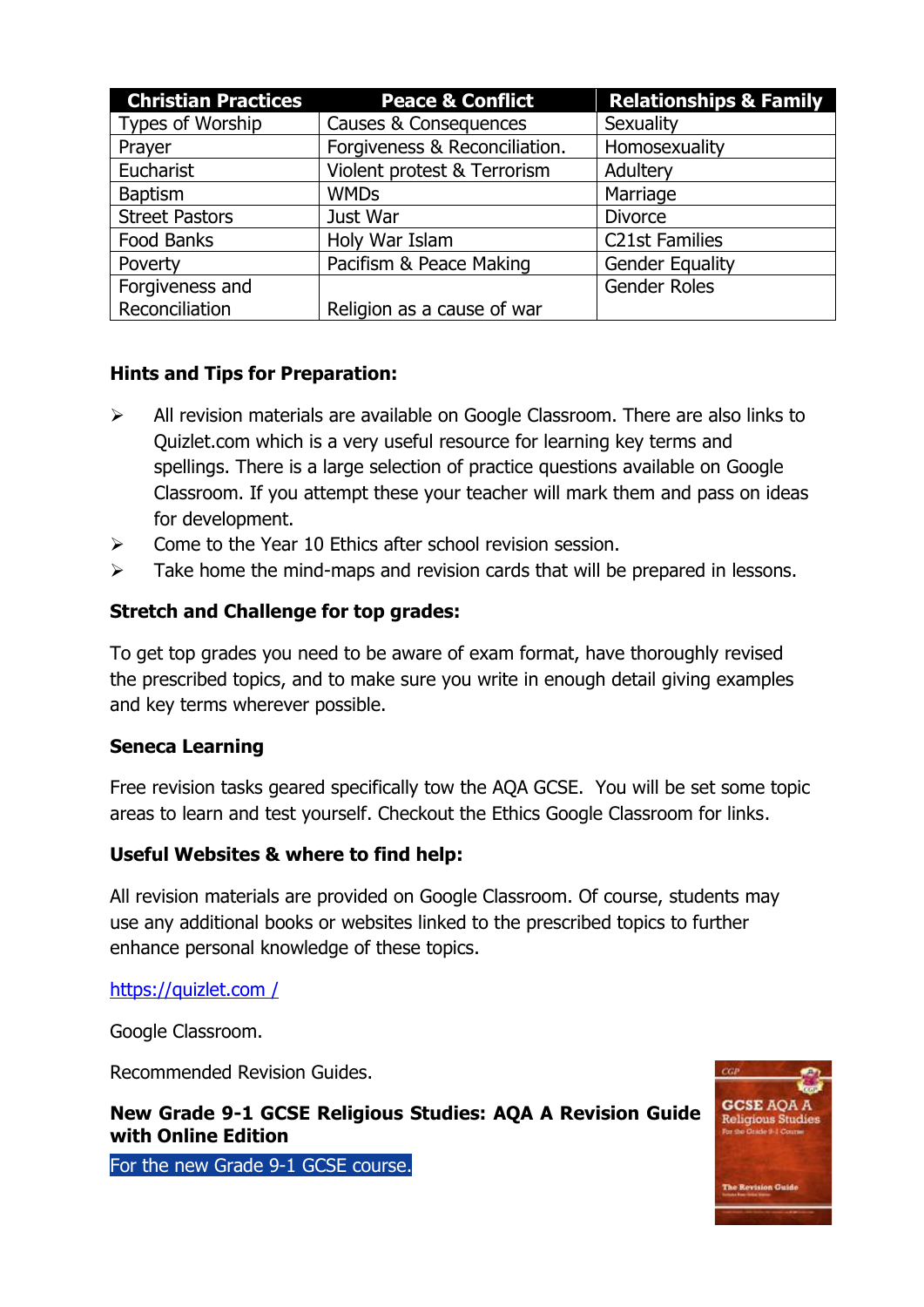| <b>Christian Practices</b> | <b>Peace &amp; Conflict</b>   | <b>Relationships &amp; Family</b> |
|----------------------------|-------------------------------|-----------------------------------|
| Types of Worship           | Causes & Consequences         | Sexuality                         |
| Prayer                     | Forgiveness & Reconciliation. | Homosexuality                     |
| Eucharist                  | Violent protest & Terrorism   | Adultery                          |
| <b>Baptism</b>             | <b>WMDs</b>                   | Marriage                          |
| <b>Street Pastors</b>      | Just War                      | <b>Divorce</b>                    |
| Food Banks                 | Holy War Islam                | <b>C21st Families</b>             |
| Poverty                    | Pacifism & Peace Making       | <b>Gender Equality</b>            |
| Forgiveness and            |                               | <b>Gender Roles</b>               |
| Reconciliation             | Religion as a cause of war    |                                   |

### **Hints and Tips for Preparation:**

- ➢ All revision materials are available on Google Classroom. There are also links to Quizlet.com which is a very useful resource for learning key terms and spellings. There is a large selection of practice questions available on Google Classroom. If you attempt these your teacher will mark them and pass on ideas for development.
- ➢ Come to the Year 10 Ethics after school revision session.
- $\triangleright$  Take home the mind-maps and revision cards that will be prepared in lessons.

### **Stretch and Challenge for top grades:**

To get top grades you need to be aware of exam format, have thoroughly revised the prescribed topics, and to make sure you write in enough detail giving examples and key terms wherever possible.

### **Seneca Learning**

Free revision tasks geared specifically tow the AQA GCSE. You will be set some topic areas to learn and test yourself. Checkout the Ethics Google Classroom for links.

#### **Useful Websites & where to find help:**

All revision materials are provided on Google Classroom. Of course, students may use any additional books or websites linked to the prescribed topics to further enhance personal knowledge of these topics.

[https://quizlet.com /](https://quizlet.com/76389737/ks3-islam-pcsa-flash-cards/)

Google Classroom.

Recommended Revision Guides.

**New Grade 9-1 GCSE Religious Studies: AQA A Revision Guide with Online Edition**



For the new Grade 9-1 GCSE course.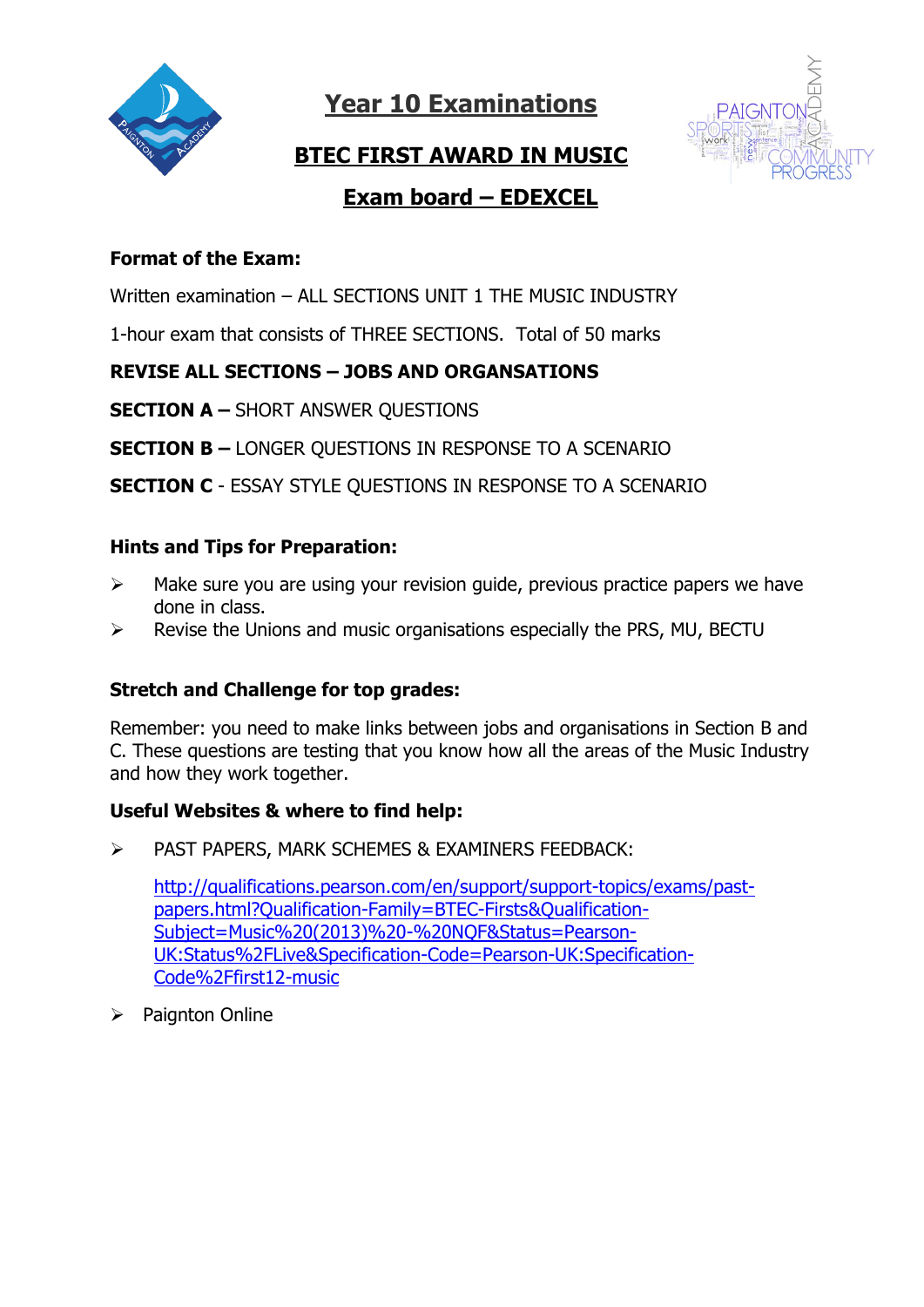



## **BTEC FIRST AWARD IN MUSIC**

## **Exam board – EDEXCEL**

### **Format of the Exam:**

Written examination – ALL SECTIONS UNIT 1 THE MUSIC INDUSTRY

1-hour exam that consists of THREE SECTIONS. Total of 50 marks

### **REVISE ALL SECTIONS – JOBS AND ORGANSATIONS**

**SECTION A –** SHORT ANSWER QUESTIONS

**SECTION B –** LONGER QUESTIONS IN RESPONSE TO A SCENARIO

**SECTION C** - ESSAY STYLE QUESTIONS IN RESPONSE TO A SCENARIO

### **Hints and Tips for Preparation:**

- $\triangleright$  Make sure you are using your revision guide, previous practice papers we have done in class.
- ➢ Revise the Unions and music organisations especially the PRS, MU, BECTU

### **Stretch and Challenge for top grades:**

Remember: you need to make links between jobs and organisations in Section B and C. These questions are testing that you know how all the areas of the Music Industry and how they work together.

### **Useful Websites & where to find help:**

➢ PAST PAPERS, MARK SCHEMES & EXAMINERS FEEDBACK:

[http://qualifications.pearson.com/en/support/support-topics/exams/past](http://qualifications.pearson.com/en/support/support-topics/exams/past-papers.html?Qualification-Family=BTEC-Firsts&Qualification-Subject=Music%20(2013)%20-%20NQF&Status=Pearson-UK:Status%2FLive&Specification-Code=Pearson-UK:Specification-Code%2Ffirst12-music)[papers.html?Qualification-Family=BTEC-Firsts&Qualification-](http://qualifications.pearson.com/en/support/support-topics/exams/past-papers.html?Qualification-Family=BTEC-Firsts&Qualification-Subject=Music%20(2013)%20-%20NQF&Status=Pearson-UK:Status%2FLive&Specification-Code=Pearson-UK:Specification-Code%2Ffirst12-music)[Subject=Music%20\(2013\)%20-%20NQF&Status=Pearson-](http://qualifications.pearson.com/en/support/support-topics/exams/past-papers.html?Qualification-Family=BTEC-Firsts&Qualification-Subject=Music%20(2013)%20-%20NQF&Status=Pearson-UK:Status%2FLive&Specification-Code=Pearson-UK:Specification-Code%2Ffirst12-music)[UK:Status%2FLive&Specification-Code=Pearson-UK:Specification-](http://qualifications.pearson.com/en/support/support-topics/exams/past-papers.html?Qualification-Family=BTEC-Firsts&Qualification-Subject=Music%20(2013)%20-%20NQF&Status=Pearson-UK:Status%2FLive&Specification-Code=Pearson-UK:Specification-Code%2Ffirst12-music)[Code%2Ffirst12-music](http://qualifications.pearson.com/en/support/support-topics/exams/past-papers.html?Qualification-Family=BTEC-Firsts&Qualification-Subject=Music%20(2013)%20-%20NQF&Status=Pearson-UK:Status%2FLive&Specification-Code=Pearson-UK:Specification-Code%2Ffirst12-music)

➢ Paignton Online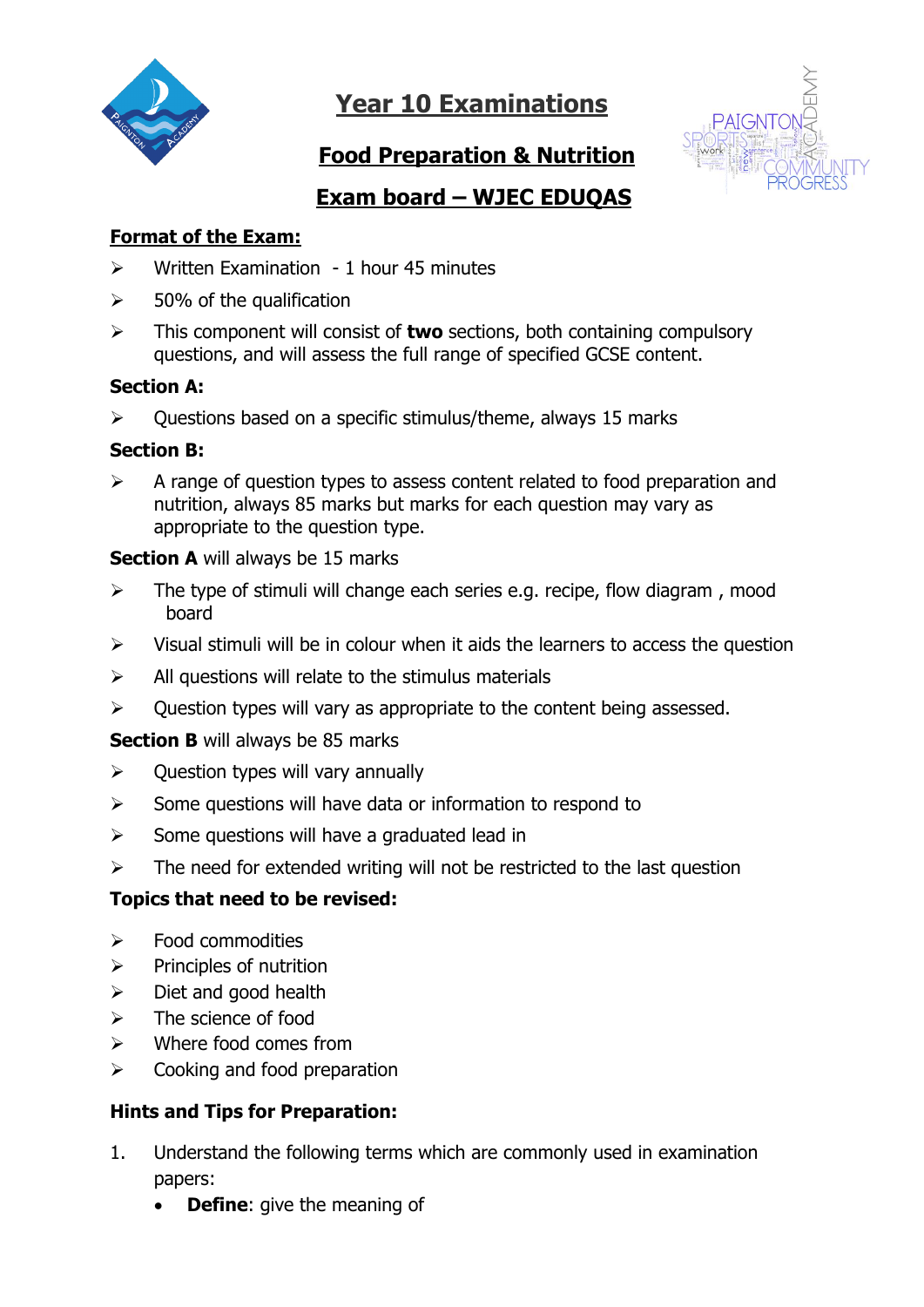

## **Food Preparation & Nutrition**



## **Exam board – WJEC EDUQAS**

### **Format of the Exam:**

- $\triangleright$  Written Examination 1 hour 45 minutes
- $\geq$  50% of the qualification
- ➢ This component will consist of **two** sections, both containing compulsory questions, and will assess the full range of specified GCSE content.

#### **Section A:**

 $\triangleright$  Ouestions based on a specific stimulus/theme, always 15 marks

### **Section B:**

➢ A range of question types to assess content related to food preparation and nutrition, always 85 marks but marks for each question may vary as appropriate to the question type.

#### **Section A** will always be 15 marks

- $\triangleright$  The type of stimuli will change each series e.g. recipe, flow diagram, mood board
- $\triangleright$  Visual stimuli will be in colour when it aids the learners to access the question
- $\triangleright$  All questions will relate to the stimulus materials
- $\triangleright$  Ouestion types will vary as appropriate to the content being assessed.

### **Section B** will always be 85 marks

- $\triangleright$  Question types will vary annually
- ➢ Some questions will have data or information to respond to
- $\triangleright$  Some questions will have a graduated lead in
- $\triangleright$  The need for extended writing will not be restricted to the last question

### **Topics that need to be revised:**

- $\triangleright$  Food commodities
- $\triangleright$  Principles of nutrition
- $\triangleright$  Diet and good health
- $\triangleright$  The science of food
- $\triangleright$  Where food comes from
- $\triangleright$  Cooking and food preparation

### **Hints and Tips for Preparation:**

- 1. Understand the following terms which are commonly used in examination papers:
	- **Define:** give the meaning of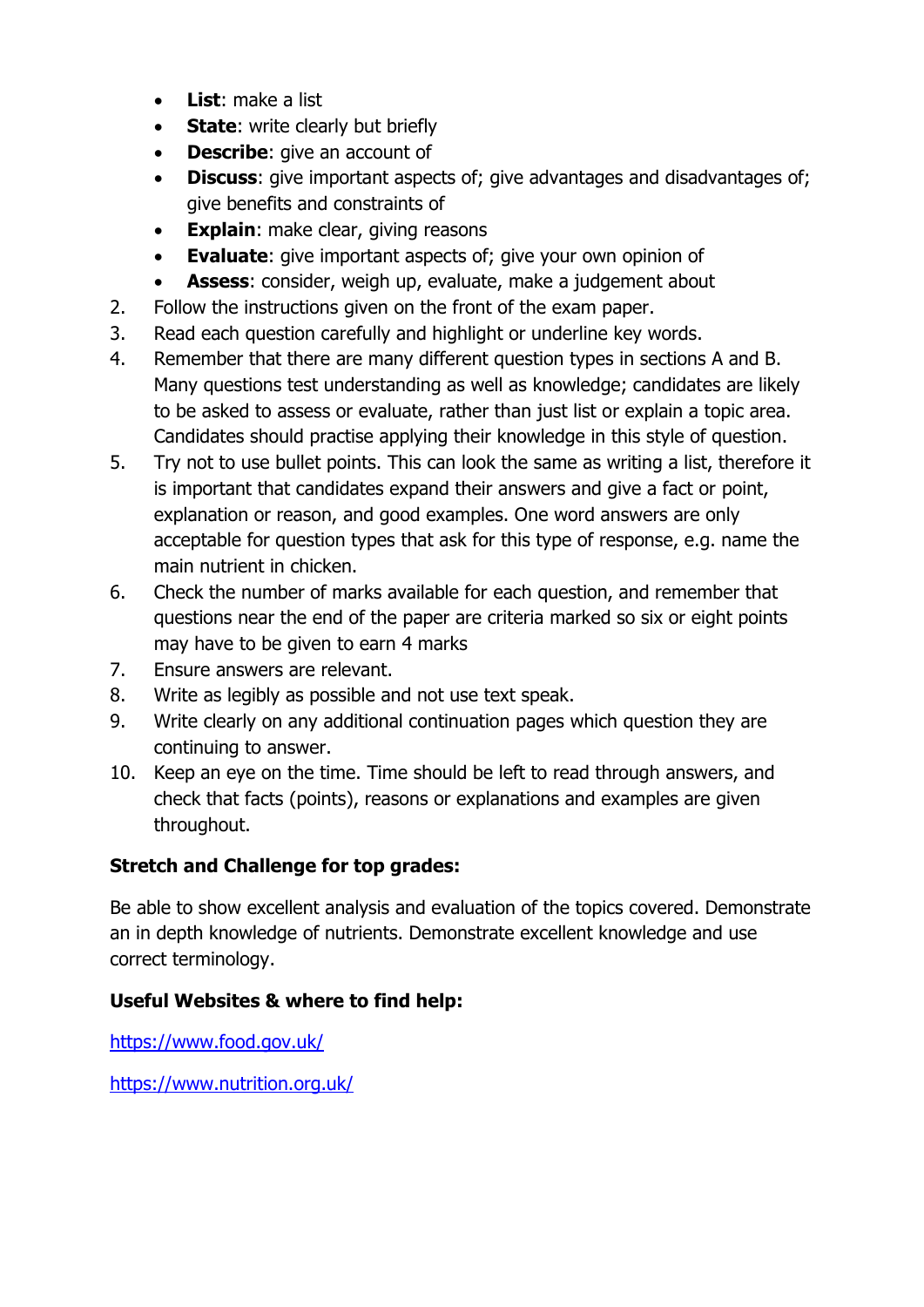- **List**: make a list
- **State**: write clearly but briefly
- **Describe**: give an account of
- **Discuss**: give important aspects of; give advantages and disadvantages of; give benefits and constraints of
- **Explain:** make clear, giving reasons
- **Evaluate**: give important aspects of; give your own opinion of
- **Assess**: consider, weigh up, evaluate, make a judgement about
- 2. Follow the instructions given on the front of the exam paper.
- 3. Read each question carefully and highlight or underline key words.
- 4. Remember that there are many different question types in sections A and B. Many questions test understanding as well as knowledge; candidates are likely to be asked to assess or evaluate, rather than just list or explain a topic area. Candidates should practise applying their knowledge in this style of question.
- 5. Try not to use bullet points. This can look the same as writing a list, therefore it is important that candidates expand their answers and give a fact or point, explanation or reason, and good examples. One word answers are only acceptable for question types that ask for this type of response, e.g. name the main nutrient in chicken.
- 6. Check the number of marks available for each question, and remember that questions near the end of the paper are criteria marked so six or eight points may have to be given to earn 4 marks
- 7. Ensure answers are relevant.
- 8. Write as legibly as possible and not use text speak.
- 9. Write clearly on any additional continuation pages which question they are continuing to answer.
- 10. Keep an eye on the time. Time should be left to read through answers, and check that facts (points), reasons or explanations and examples are given throughout.

## **Stretch and Challenge for top grades:**

Be able to show excellent analysis and evaluation of the topics covered. Demonstrate an in depth knowledge of nutrients. Demonstrate excellent knowledge and use correct terminology.

## **Useful Websites & where to find help:**

<https://www.food.gov.uk/>

<https://www.nutrition.org.uk/>